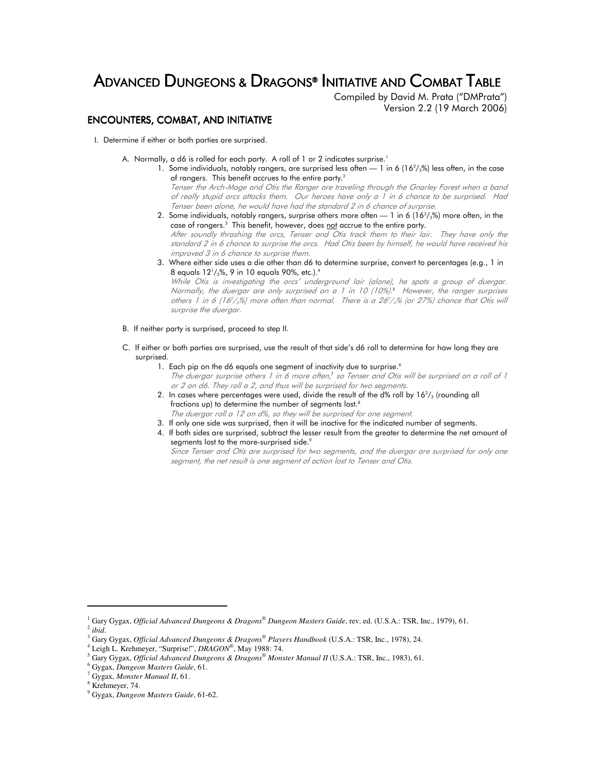# ADVANCED DUNGEONS & DRAGONS® INITIATIVE AND COMBAT TABLE

Compiled by David M. Prata ("DMPrata") Version 2.2 (19 March 2006)

# ENCOUNTERS, COMBAT, AND INITIATIVE

- I. Determine if either or both parties are surprised.
	- A. Normally, a d6 is rolled for each party. A roll of 1 or 2 indicates surprise.<sup>1</sup>
- 1. Some individuals, notably rangers, are surprised less often 1 in 6 (16 $^2\prime_3$ %) less often, in the case of rangers. This benefit accrues to the entire party.<sup>2</sup>

Tenser the Arch-Mage and Otis the Ranger are traveling through the Gnarley Forest when a band of really stupid orcs attacks them. Our heroes have only a 1 in 6 chance to be surprised. Had Tenser been alone, he would have had the standard 2 in 6 chance of surprise.

- 2. Some individuals, notably rangers, surprise others more often 1 in 6  $(16^{2}/_{3}\%)$  more often, in the case of rangers.<sup>3</sup> This benefit, however, does <u>not</u> accrue to the entire party. After soundly thrashing the orcs, Tenser and Otis track them to their lair. They have only the standard 2 in 6 chance to surprise the orcs. Had Otis been by himself, he would have received his improved 3 in 6 chance to surprise them.
	- 3. Where either side uses a die other than d6 to determine surprise, convert to percentages (e.g., 1 in 8 equals  $12\frac{1}{2}\%$ , 9 in 10 equals 90%, etc.). $^4$

While Otis is investigating the orcs' underground lair (alone), he spots a group of duergar. Normally, the duergar are only surprised on a 1 in 10 (10%). 5 However, the ranger surprises others 1 in 6 (16<sup>2</sup>/<sub>3</sub>%) more often than normal. There is a 26<sup>2</sup>/<sub>3</sub>% (or 27%) chance that Otis will surprise the duergar.

- B. If neither party is surprised, proceed to step II.
- C. If either or both parties are surprised, use the result of that side's d6 roll to determine for how long they are surprised.
	- 1. Each pip on the d6 equals one segment of inactivity due to surprise.<sup>6</sup> The duergar surprise others 1 in 6 more often,<sup>7</sup> so Tenser and Otis will be surprised on a roll of 1 or 2 on d6. They roll a 2, and thus will be surprised for two segments.
- 2. In cases where percentages were used, divide the result of the d% roll by 16 $^2\prime_3$  (rounding all fractions up) to determine the number of segments lost.<sup>8</sup> The duergar roll a 12 on d%, so they will be surprised for one segment.
	- 3. If only one side was surprised, then it will be inactive for the indicated number of segments.
	- 4. If both sides are surprised, subtract the lesser result from the greater to determine the net amount of segments lost to the more-surprised side.9

Since Tenser and Otis are surprised for two segments, and the duergar are surprised for only one segment, the net result is one segment of action lost to Tenser and Otis.

<sup>&</sup>lt;sup>1</sup> Gary Gygax, *Official Advanced Dungeons & Dragons<sup>®</sup> Dungeon Masters Guide*, rev. ed. (U.S.A.: TSR, Inc., 1979), 61. 2 *ibid*.

<sup>3</sup> Gary Gygax, *Official Advanced Dungeons & Dragons® Players Handbook* (U.S.A.: TSR, Inc., 1978), 24.

<sup>4</sup> Leigh L. Krehmeyer, "Surprise!", *DRAGON®* , May 1988: 74.

<sup>5</sup> Gary Gygax, *Official Advanced Dungeons & Dragons® Monster Manual II* (U.S.A.: TSR, Inc., 1983), 61.

<sup>6</sup> Gygax, *Dungeon Masters Guide*, 61.

<sup>7</sup> Gygax, *Monster Manual II*, 61.

<sup>8</sup> Krehmeyer, 74.

<sup>9</sup> Gygax, *Dungeon Masters Guide*, 61-62.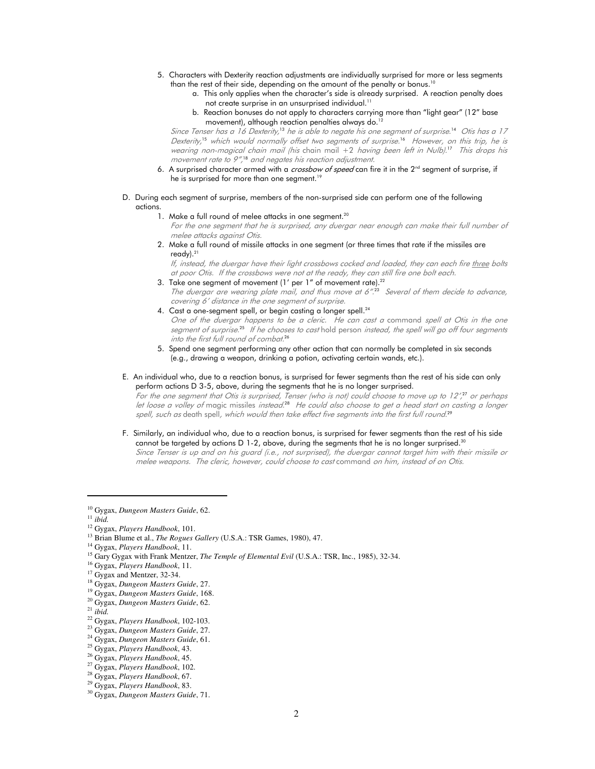- 5. Characters with Dexterity reaction adjustments are individually surprised for more or less segments than the rest of their side, depending on the amount of the penalty or bonus.<sup>10</sup>
	- a. This only applies when the character's side is already surprised. A reaction penalty does not create surprise in an unsurprised individual.<sup>11</sup>
	- b. Reaction bonuses do not apply to characters carrying more than "light gear" (12" base movement), although reaction penalties always do.<sup>12</sup>

Since Tenser has a 16 Dexterity,<sup>13</sup> he is able to negate his one segment of surprise.<sup>14</sup> Otis has a 17 Dexterity, <sup>15</sup> which would normally offset two segments of surprise. <sup>16</sup> However, on this trip, he is wearing non-magical chain mail (his chain mail +2 having been left in Nulb). <sup>17</sup> This drops his movement rate to 9", <sup>18</sup> and negates his reaction adjustment.

- 6. A surprised character armed with a *crossbow of speed* can fire it in the  $2<sup>nd</sup>$  segment of surprise, if he is surprised for more than one segment.<sup>19</sup>
- D. During each segment of surprise, members of the non-surprised side can perform one of the following actions.
	- 1. Make a full round of melee attacks in one segment.<sup>20</sup>

For the one segment that he is surprised, any duergar near enough can make their full number of melee attacks against Otis.

 2. Make a full round of missile attacks in one segment (or three times that rate if the missiles are ready).<sup>21</sup>

If, instead, the duergar have their light crossbows cocked and loaded, they can each fire three bolts at poor Otis. If the crossbows were not at the ready, they can still fire one bolt each.

- 3. Take one segment of movement (1' per 1" of movement rate). $^{22}$ The duergar are wearing plate mail, and thus move at 6".<sup>23</sup> Several of them decide to advance, covering 6' distance in the one segment of surprise.
- 4. Cast a one-segment spell, or begin casting a longer spell.<sup>24</sup> One of the duergar happens to be a cleric. He can cast a command spell at Otis in the one
	- segment of surprise.<sup>25</sup> If he chooses to cast hold person instead, the spell will go off four segments into the first full round of combat. 26
- 5. Spend one segment performing any other action that can normally be completed in six seconds (e.g., drawing a weapon, drinking a potion, activating certain wands, etc.).
- E. An individual who, due to a reaction bonus, is surprised for fewer segments than the rest of his side can only perform actions D 3-5, above, during the segments that he is no longer surprised.

For the one segment that Otis is surprised, Tenser (who is not) could choose to move up to 12', <sup>27</sup> or perhaps let loose a volley of magic missiles *instead.*28 He could also choose to get a head start on casting a longer spell, such as death spell, which would then take effect five segments into the first full round.<sup>29</sup>

 F. Similarly, an individual who, due to a reaction bonus, is surprised for fewer segments than the rest of his side cannot be targeted by actions D 1-2, above, during the segments that he is no longer surprised.<sup>30</sup> Since Tenser is up and on his guard (i.e., not surprised), the duergar cannot target him with their missile or melee weapons. The cleric, however, could choose to cast command on him, instead of on Otis.

<sup>24</sup> Gygax, *Dungeon Masters Guide*, 61.

<sup>26</sup> Gygax, *Players Handbook*, 45.

<sup>10</sup> Gygax, *Dungeon Masters Guide*, 62.

 $^{\rm 11}$   $ibid.$ 

<sup>12</sup> Gygax, *Players Handbook*, 101.

<sup>&</sup>lt;sup>13</sup> Brian Blume et al., *The Rogues Gallery* (U.S.A.: TSR Games, 1980), 47.

<sup>14</sup> Gygax, *Players Handbook*, 11.

<sup>15</sup> Gary Gygax with Frank Mentzer, *The Temple of Elemental Evil* (U.S.A.: TSR, Inc., 1985), 32-34.

<sup>16</sup> Gygax, *Players Handbook*, 11.

<sup>&</sup>lt;sup>17</sup> Gygax and Mentzer, 32-34.

<sup>18</sup> Gygax, *Dungeon Masters Guide*, 27.

<sup>19</sup> Gygax, *Dungeon Masters Guide*, 168.

<sup>20</sup> Gygax, *Dungeon Masters Guide*, 62.

<sup>21</sup> *ibid.* 

<sup>22</sup> Gygax, *Players Handbook*, 102-103.

<sup>23</sup> Gygax, *Dungeon Masters Guide*, 27.

<sup>25</sup> Gygax, *Players Handbook*, 43.

<sup>27</sup> Gygax, *Players Handbook*, 102.

<sup>28</sup> Gygax, *Players Handbook*, 67.

<sup>29</sup> Gygax, *Players Handbook*, 83.

<sup>30</sup> Gygax, *Dungeon Masters Guide*, 71.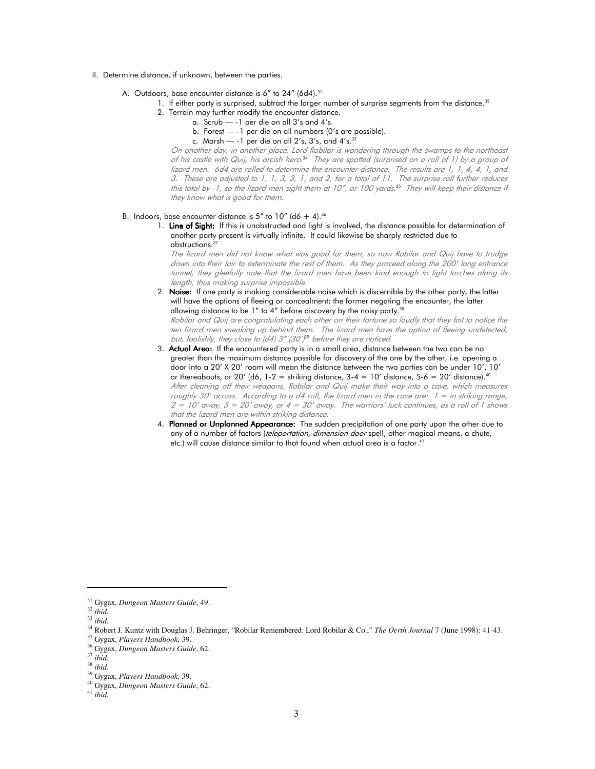- II. Determine distance, if unknown, between the parties.
	- A. Outdoors, base encounter distance is 6" to 24" (6d4).<sup>31</sup>
		- 1. If either party is surprised, subtract the larger number of surprise segments from the distance.<sup>32</sup>
			- 2. Terrain may further modify the encounter distance.
				- a. Scrub -1 per die on all 3's and 4's.
					- b. Forest -1 per die on all numbers (0's are possible).
					- c. Marsh  $-$  -1 per die on all 2's, 3's, and 4's.<sup>33</sup>

On another day, in another place, Lord Robilar is wandering through the swamps to the northeast of his castle with Quij, his orcish hero. <sup>34</sup> They are spotted (surprised on a roll of 1) by a group of lizard men. 6d4 are rolled to determine the encounter distance. The results are 1, 1, 4, 4, 1, and 3. These are adjusted to 1, 1, 3, 3, 1, and 2, for a total of 11. The surprise roll further reduces this total by -1, so the lizard men sight them at 10", or 100 yards. <sup>35</sup> They will keep their distance if they know what is good for them.

#### B. Indoors, base encounter distance is 5" to 10" (d6 + 4).<sup>36</sup>

1. Line of Sight: If this is unobstructed and light is involved, the distance possible for determination of another party present is virtually infinite. It could likewise be sharply restricted due to obstructions.<sup>37</sup>

The lizard men did not know what was good for them, so now Robilar and Quij have to trudge down into their lair to exterminate the rest of them. As they proceed along the 200' long entrance tunnel, they gleefully note that the lizard men have been kind enough to light torches along its length, thus making surprise impossible.

2. Noise: If one party is making considerable noise which is discernible by the other party, the latter will have the options of fleeing or concealment; the former negating the encounter, the latter allowing distance to be  $1''$  to  $4''$  before discovery by the noisy party.<sup>38</sup>

Robilar and Quij are congratulating each other on their fortune so loudly that they fail to notice the ten lizard men sneaking up behind them. The lizard men have the option of fleeing undetected, but, foolishly, they close to (d4) 3" (30')<sup>89</sup> before they are noticed.

- 3. Actual Area: If the encountered party is in a small area, distance between the two can be no greater than the maximum distance possible for discovery of the one by the other, i.e. opening a door into a 20' X 20' room will mean the distance between the two parties can be under 10', 10' or thereabouts, or 20' (d6, 1-2 = striking distance,  $3-4 = 10'$  distance,  $5-6 = 20'$  distance).<sup>40</sup> After cleaning off their weapons, Robilar and Quij make their way into a cave, which measures roughly 30' across. According to a d4 roll, the lizard men in the cave are:  $1 =$  in striking range,  $2 = 10'$  away,  $3 = 20'$  away, or  $4 = 30'$  away. The warriors' luck continues, as a roll of 1 shows that the lizard men are within striking distance.
- 4. Planned or Unplanned Appearance: The sudden precipitation of one party upon the other due to any of a number of factors (teleportation, dimension door spell, other magical means, a chute, etc.) will cause distance similar to that found when actual area is a factor.<sup>41</sup>

<sup>31</sup> Gygax, *Dungeon Masters Guide*, 49.

<sup>32</sup> *ibid.* 

<sup>33</sup> *ibid.* 

<sup>34</sup> Robert J. Kuntz with Douglas J. Behringer, "Robilar Remembered: Lord Robilar & Co.," *The Oerth Journal* 7 (June 1998): 41-43.

<sup>35</sup> Gygax, *Players Handbook*, 39.

<sup>36</sup> Gygax, *Dungeon Masters Guide*, 62.

<sup>37</sup> *ibid.* 

<sup>38</sup> *ibid.* 

<sup>39</sup> Gygax, *Players Handbook*, 39.

<sup>40</sup> Gygax, *Dungeon Masters Guide*, 62.

<sup>41</sup> *ibid.*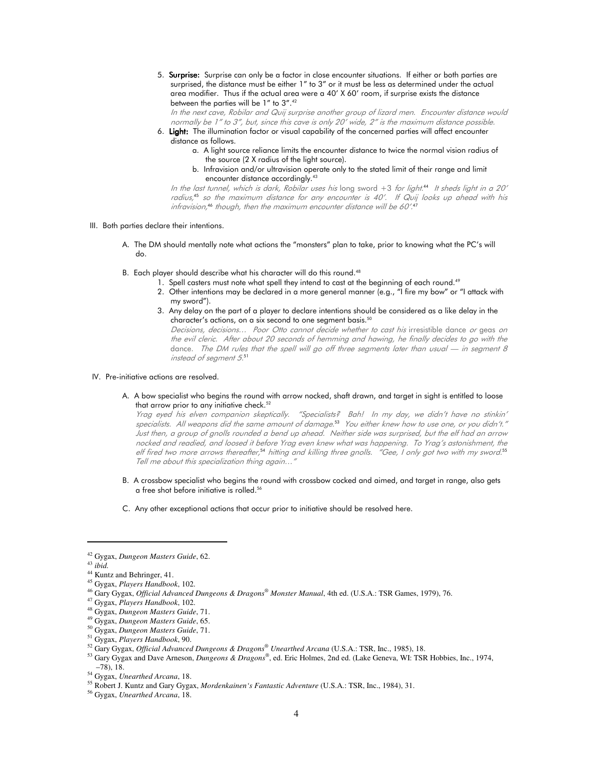5. Surprise: Surprise: Surprise can only be a factor in close encounter situations. If either or both parties are surprised, the distance must be either 1" to 3" or it must be less as determined under the actual area modifier. Thus if the actual area were a 40' X 60' room, if surprise exists the distance between the parties will be 1" to 3".<sup>42</sup>

In the next cave, Robilar and Quij surprise another group of lizard men. Encounter distance would normally be 1" to 3", but, since this cave is only 20' wide, 2" is the maximum distance possible.

- 6. Light: The illumination factor or visual capability of the concerned parties will affect encounter distance as follows.
	- a. A light source reliance limits the encounter distance to twice the normal vision radius of the source (2 X radius of the light source).
	- b. Infravision and/or ultravision operate only to the stated limit of their range and limit encounter distance accordingly.<sup>43</sup>

In the last tunnel, which is dark, Robilar uses his long sword +3 for light. <sup>44</sup> It sheds light in a 20' radius, <sup>45</sup> so the maximum distance for any encounter is 40'. If Quij looks up ahead with his infravision, <sup>46</sup> though, then the maximum encounter distance will be 60'. 47

- III. Both parties declare their intentions.
	- A. The DM should mentally note what actions the "monsters" plan to take, prior to knowing what the PC's will do.
	- B. Each player should describe what his character will do this round.<sup>48</sup>
		- 1. Spell casters must note what spell they intend to cast at the beginning of each round.<sup>49</sup>
		- 2. Other intentions may be declared in a more general manner (e.g., "I fire my bow" or "I attack with my sword").
		- 3. Any delay on the part of a player to declare intentions should be considered as a like delay in the character's actions, on a six second to one segment basis.<sup>50</sup>

Decisions, decisions… Poor Otto cannot decide whether to cast his irresistible dance or geas on the evil cleric. After about 20 seconds of hemming and hawing, he finally decides to go with the dance. The DM rules that the spell will go off three segments later than usual  $-$  in segment 8 instead of segment 5. 51

#### IV. Pre-initiative actions are resolved.

 A. A bow specialist who begins the round with arrow nocked, shaft drawn, and target in sight is entitled to loose that arrow prior to any initiative check.<sup>52</sup>

Yrag eyed his elven companion skeptically. "Specialists? Bah! In my day, we didn't have no stinkin' specialists. All weapons did the same amount of damage. <sup>53</sup> You either knew how to use one, or you didn't." Just then, a group of gnolls rounded a bend up ahead. Neither side was surprised, but the elf had an arrow nocked and readied, and loosed it before Yrag even knew what was happening. To Yrag's astonishment, the elf fired two more arrows thereafter,<sup>54</sup> hitting and killing three gnolls. "Gee, I only got two with my sword.<sup>55</sup> Tell me about this specialization thing again…"

- B. A crossbow specialist who begins the round with crossbow cocked and aimed, and target in range, also gets a free shot before initiative is rolled.<sup>56</sup>
- C. Any other exceptional actions that occur prior to initiative should be resolved here.

<sup>42</sup> Gygax, *Dungeon Masters Guide*, 62.

<sup>43</sup> *ibid.*

<sup>&</sup>lt;sup>44</sup> Kuntz and Behringer, 41.

<sup>45</sup> Gygax, *Players Handbook*, 102.

<sup>46</sup> Gary Gygax, *Official Advanced Dungeons & Dragons® Monster Manual*, 4th ed. (U.S.A.: TSR Games, 1979), 76.

<sup>47</sup> Gygax, *Players Handbook*, 102.

<sup>48</sup> Gygax, *Dungeon Masters Guide*, 71.

<sup>49</sup> Gygax, *Dungeon Masters Guide*, 65.

<sup>50</sup> Gygax, *Dungeon Masters Guide*, 71.

<sup>51</sup> Gygax, *Players Handbook*, 90.

<sup>52</sup> Gary Gygax, *Official Advanced Dungeons & Dragons® Unearthed Arcana* (U.S.A.: TSR, Inc., 1985), 18.

<sup>53</sup> Gary Gygax and Dave Arneson, *Dungeons & Dragons®* , ed. Eric Holmes, 2nd ed. (Lake Geneva, WI: TSR Hobbies, Inc., 1974, –78), 18.

<sup>54</sup> Gygax, *Unearthed Arcana*, 18.

<sup>55</sup> Robert J. Kuntz and Gary Gygax, *Mordenkainen's Fantastic Adventure* (U.S.A.: TSR, Inc., 1984), 31.

<sup>56</sup> Gygax, *Unearthed Arcana*, 18.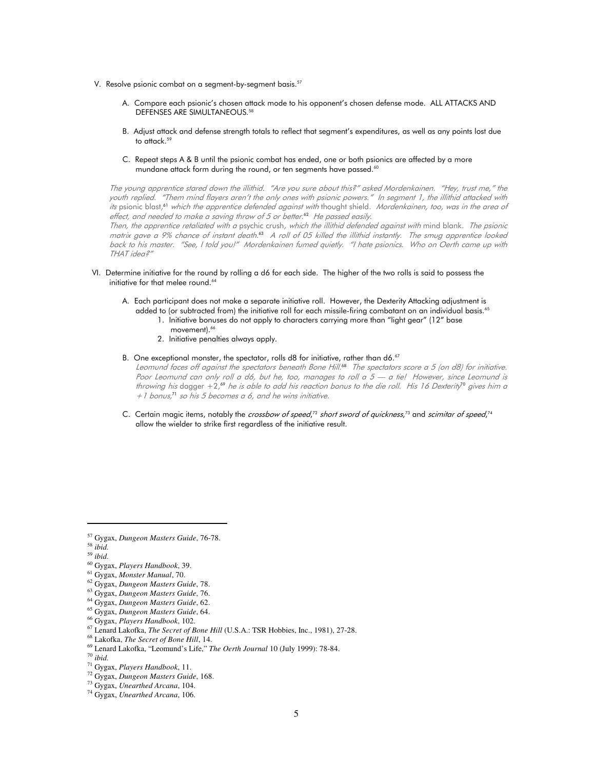- V. Resolve psionic combat on a segment-by-segment basis.<sup>57</sup>
	- A. Compare each psionic's chosen attack mode to his opponent's chosen defense mode. ALL ATTACKS AND DEFENSES ARE SIMULTANEOUS.<sup>58</sup>
	- B. Adjust attack and defense strength totals to reflect that segment's expenditures, as well as any points lost due to attack.<sup>59</sup>
	- C. Repeat steps A & B until the psionic combat has ended, one or both psionics are affected by a more mundane attack form during the round, or ten segments have passed.<sup>60</sup>

The young apprentice stared down the illithid. "Are you sure about this?" asked Mordenkainen. "Hey, trust me," the youth replied. "Them mind flayers aren't the only ones with psionic powers." In segment 1, the illithid attacked with *its* psionic blast,<sup>61</sup> w*hich the apprentice defended against with* thought shield. Mordenkainen, too, was in the area of effect, and needed to make a saving throw of 5 or better. <sup>62</sup> He passed easily.

Then, the apprentice retaliated with a psychic crush, which the illithid defended against with mind blank. The psionic matrix gave a 9% chance of instant death.<sup>ss</sup> A roll of 05 killed the illithid instantly. The smug apprentice looked back to his master. "See, I told you!" Mordenkainen fumed quietly. "I hate psionics. Who on Oerth came up with THAT idea?"

- VI. Determine initiative for the round by rolling a d6 for each side. The higher of the two rolls is said to possess the initiative for that melee round.<sup>64</sup>
	- A. Each participant does not make a separate initiative roll. However, the Dexterity Attacking adjustment is added to (or subtracted from) the initiative roll for each missile-firing combatant on an individual basis.<sup>65</sup>
		- 1. Initiative bonuses do not apply to characters carrying more than "light gear" (12" base movement).<sup>66</sup>
		- 2. Initiative penalties always apply.
	- B. One exceptional monster, the spectator, rolls d8 for initiative, rather than d6.<sup>67</sup>

Leomund faces off against the spectators beneath Bone Hill.<sup>68</sup> The spectators score a 5 (on d8) for initiative. Poor Leomund can only roll a d6, but he, too, manages to roll a 5 - a tie! However, since Leomund is throwing his dagger +2,<sup>69</sup> he is able to add his reaction bonus to the die roll. His 16 Dexterity<sup>16</sup> gives him a +1 bonus, <sup>71</sup> so his 5 becomes a 6, and he wins initiative.

C. Certain magic items, notably the *crossbow of speed*,<sup>72</sup> short sword of quickness,<sup>73</sup> and scimitar of speed,<sup>74</sup> allow the wielder to strike first regardless of the initiative result.

<sup>57</sup> Gygax, *Dungeon Masters Guide*, 76-78.

<sup>58</sup> *ibid.* 

<sup>59</sup> *ibid.* 

<sup>60</sup> Gygax, *Players Handbook*, 39.

<sup>61</sup> Gygax, *Monster Manual*, 70.

<sup>62</sup> Gygax, *Dungeon Masters Guide*, 78.

<sup>63</sup> Gygax, *Dungeon Masters Guide*, 76.

<sup>64</sup> Gygax, *Dungeon Masters Guide*, 62. <sup>65</sup> Gygax, *Dungeon Masters Guide*, 64.

<sup>66</sup> Gygax, *Players Handbook*, 102.

<sup>67</sup> Lenard Lakofka, *The Secret of Bone Hill* (U.S.A.: TSR Hobbies, Inc., 1981), 27-28.

<sup>68</sup> Lakofka, *The Secret of Bone Hill*, 14.

<sup>69</sup> Lenard Lakofka, "Leomund's Life," *The Oerth Journal* 10 (July 1999): 78-84.

<sup>70</sup> *ibid.*

<sup>71</sup> Gygax, *Players Handbook*, 11.

<sup>72</sup> Gygax, *Dungeon Masters Guide*, 168.

<sup>73</sup> Gygax, *Unearthed Arcana*, 104.

<sup>74</sup> Gygax, *Unearthed Arcana*, 106.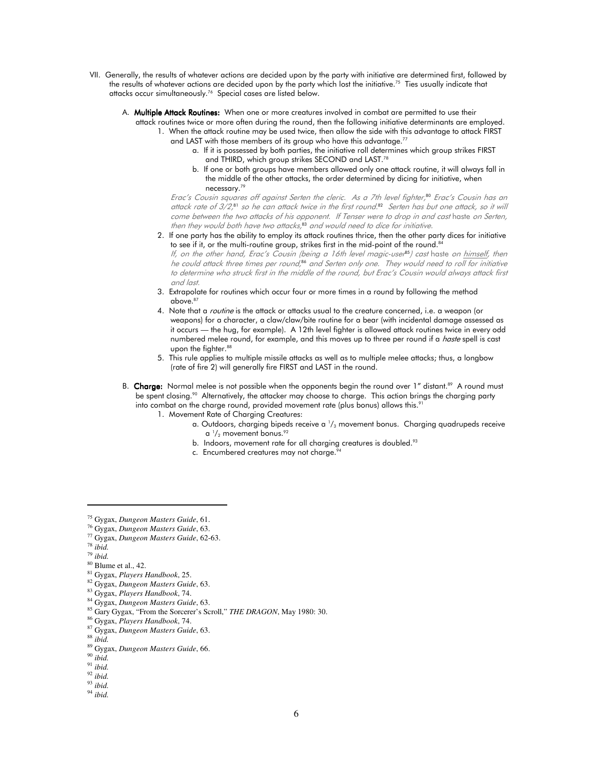- VII. Generally, the results of whatever actions are decided upon by the party with initiative are determined first, followed by the results of whatever actions are decided upon by the party which lost the initiative.<sup>75</sup> Ties usually indicate that attacks occur simultaneously.<sup>76</sup> Special cases are listed below.
	- A. Multiple Attack Routines: When one or more creatures involved in combat are permitted to use their
		- attack routines twice or more often during the round, then the following initiative determinants are employed.
			- 1. When the attack routine may be used twice, then allow the side with this advantage to attack FIRST and LAST with those members of its group who have this advantage.<sup>77</sup>
				- a. If it is possessed by both parties, the initiative roll determines which group strikes FIRST and THIRD, which group strikes SECOND and LAST.<sup>78</sup>
				- b. If one or both groups have members allowed only one attack routine, it will always fall in the middle of the other attacks, the order determined by dicing for initiative, when necessary.<sup>79</sup>

Erac's Cousin squares off against Serten the cleric. As a 7th level fighter, <sup>80</sup> Erac's Cousin has an attack rate of 3/2, <sup>81</sup> so he can attack twice in the first round. <sup>82</sup> Serten has but one attack, so it will come between the two attacks of his opponent. If Tenser were to drop in and cast haste on Serten, then they would both have two attacks, <sup>83</sup> and would need to dice for initiative.

- 2. If one party has the ability to employ its attack routines thrice, then the other party dices for initiative to see if it, or the multi-routine group, strikes first in the mid-point of the round.<sup>84</sup> lf, on the other hand, Erac's Cousin (being a 16th level magic-user<sup>85</sup>) cast haste on <u>himself</u>, then he could attack three times per round, <sup>86</sup> and Serten only one. They would need to roll for initiative to determine who struck first in the middle of the round, but Erac's Cousin would always attack first and last.
- 3. Extrapolate for routines which occur four or more times in a round by following the method above.<sup>87</sup>
- 4. Note that a *routine* is the attack or attacks usual to the creature concerned, i.e. a weapon (or weapons) for a character, a claw/claw/bite routine for a bear (with incidental damage assessed as it occurs — the hug, for example). A 12th level fighter is allowed attack routines twice in every odd numbered melee round, for example, and this moves up to three per round if a *haste* spell is cast upon the fighter.<sup>88</sup>
- 5. This rule applies to multiple missile attacks as well as to multiple melee attacks; thus, a longbow (rate of fire 2) will generally fire FIRST and LAST in the round.
- B. Charge: Normal melee is not possible when the opponents begin the round over 1" distant.<sup>89</sup> A round must be spent closing.<sup>90</sup> Alternatively, the attacker may choose to charge. This action brings the charging party into combat on the charge round, provided movement rate (plus bonus) allows this.<sup>9</sup>
	- 1. Movement Rate of Charging Creatures:
- a. Outdoors, charging bipeds receive a  $\text{ }\prime\text{ }_3$  movement bonus. Charging quadrupeds receive  $\alpha$ <sup>1</sup>  $a<sup>1</sup>/2$  movement bonus.<sup>92</sup>
	- b. Indoors, movement rate for all charging creatures is doubled.<sup>93</sup>
	- c. Encumbered creatures may not charge.<sup>94</sup>

<sup>75</sup> Gygax, *Dungeon Masters Guide*, 61.

<sup>76</sup> Gygax, *Dungeon Masters Guide*, 63.

<sup>77</sup> Gygax, *Dungeon Masters Guide*, 62-63.

<sup>78</sup> *ibid.*

<sup>79</sup> *ibid.* 

<sup>80</sup> Blume et al., 42.

<sup>81</sup> Gygax, *Players Handbook*, 25.

<sup>82</sup> Gygax, *Dungeon Masters Guide*, 63.

<sup>83</sup> Gygax, *Players Handbook*, 74.

<sup>84</sup> Gygax, *Dungeon Masters Guide*, 63.

<sup>85</sup> Gary Gygax, "From the Sorcerer's Scroll," *THE DRAGON*, May 1980: 30.

<sup>86</sup> Gygax, *Players Handbook*, 74.

<sup>87</sup> Gygax, *Dungeon Masters Guide*, 63.

<sup>88</sup> *ibid.*

<sup>89</sup> Gygax, *Dungeon Masters Guide*, 66.

<sup>90</sup> *ibid.* 

<sup>91</sup> *ibid.* 

<sup>92</sup> *ibid.* 

<sup>93</sup> *ibid.* 

<sup>94</sup> *ibid.*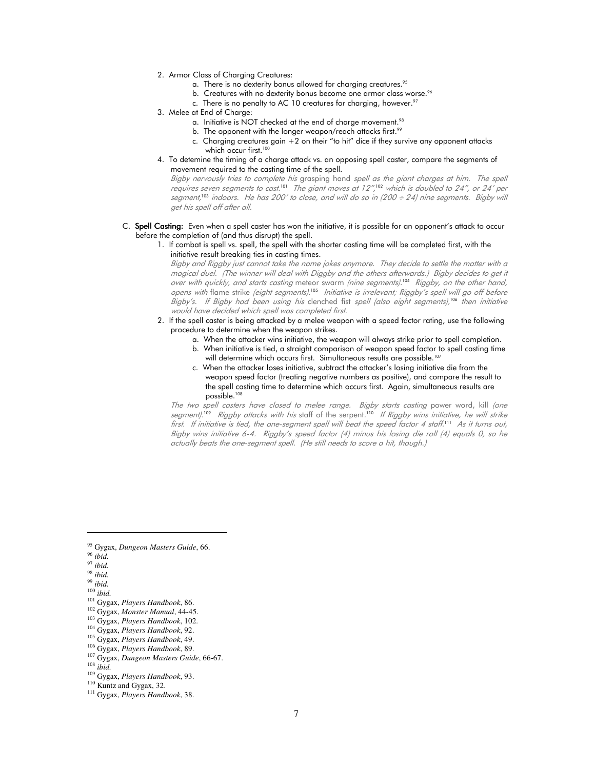- 2. Armor Class of Charging Creatures:
	- a. There is no dexterity bonus allowed for charging creatures.<sup>95</sup>
	- b. Creatures with no dexterity bonus become one armor class worse.<sup>96</sup>
	- c. There is no penalty to AC 10 creatures for charging, however.<sup>97</sup>
- 3. Melee at End of Charge:
	- a. Initiative is NOT checked at the end of charge movement.<sup>98</sup>
	- b. The opponent with the longer weapon/reach attacks first.<sup>99</sup>
	- c. Charging creatures gain  $+2$  on their "to hit" dice if they survive any opponent attacks which occur first.<sup>100</sup>
- 4. To detemine the timing of a charge attack vs. an opposing spell caster, compare the segments of movement required to the casting time of the spell.

Bigby nervously tries to complete his grasping hand spell as the giant charges at him. The spell requires seven segments to cast. $^{101}$  The giant moves at 12", $^{102}$  which is doubled to 24", or 24′ per segment, <sup>103</sup> indoors. He has 200' to close, and will do so in (200 ÷ 24) nine segments. Bigby will get his spell off after all.

#### C. Spell Casting: Even when a spell caster has won the initiative, it is possible for an opponent's attack to occur before the completion of (and thus disrupt) the spell.

 1. If combat is spell vs. spell, the spell with the shorter casting time will be completed first, with the initiative result breaking ties in casting times.

Bigby and Riggby just cannot take the name jokes anymore. They decide to settle the matter with a magical duel. (The winner will deal with Diggby and the others afterwards.) Bigby decides to get it over with quickly, and starts casting meteor swarm (nine segments).<sup>104</sup> Riggby, on the other hand, opens with flame strike (eight segments).<sup>105</sup> Initiative is irrelevant; Riggby's spell will go off before Bigby's. If Bigby had been using his clenched fist spell (also eight segments),<sup>106</sup> then initiative would have decided which spell was completed first.

- 2. If the spell caster is being attacked by a melee weapon with a speed factor rating, use the following procedure to determine when the weapon strikes.
	- a. When the attacker wins initiative, the weapon will always strike prior to spell completion.
	- b. When initiative is tied, a straight comparison of weapon speed factor to spell casting time will determine which occurs first. Simultaneous results are possible.<sup>107</sup>
	- c. When the attacker loses initiative, subtract the attacker's losing initiative die from the weapon speed factor (treating negative numbers as positive), and compare the result to the spell casting time to determine which occurs first. Again, simultaneous results are possible.<sup>108</sup>

The two spell casters have closed to melee range. Bigby starts casting power word, kill (one segment).<sup>109</sup> Riggby attacks with his staff of the serpent.<sup>110</sup> If Riggby wins initiative, he will strike first. If initiative is tied, the one-segment spell will beat the speed factor 4 staff. $11$  As it turns out, Bigby wins initiative 6-4. Riggby's speed factor (4) minus his losing die roll (4) equals 0, so he actually beats the one-segment spell. (He still needs to score a hit, though.)

<sup>97</sup> *ibid.* 

<sup>95</sup> Gygax, *Dungeon Masters Guide*, 66.

<sup>96</sup> *ibid.* 

<sup>98</sup> *ibid.* 

<sup>99</sup> *ibid.*  <sup>100</sup> *ibid.* 

<sup>101</sup> Gygax, *Players Handbook*, 86. <sup>102</sup> Gygax, *Monster Manual*, 44-45.

<sup>103</sup> Gygax, *Players Handbook*, 102.

<sup>104</sup> Gygax, *Players Handbook*, 92.

<sup>105</sup> Gygax, *Players Handbook*, 49.

<sup>106</sup> Gygax, *Players Handbook*, 89.

<sup>107</sup> Gygax, *Dungeon Masters Guide*, 66-67.

<sup>108</sup> *ibid.*

<sup>109</sup> Gygax, *Players Handbook*, 93.

<sup>&</sup>lt;sup>110</sup> Kuntz and Gygax, 32.

<sup>111</sup> Gygax, *Players Handbook*, 38.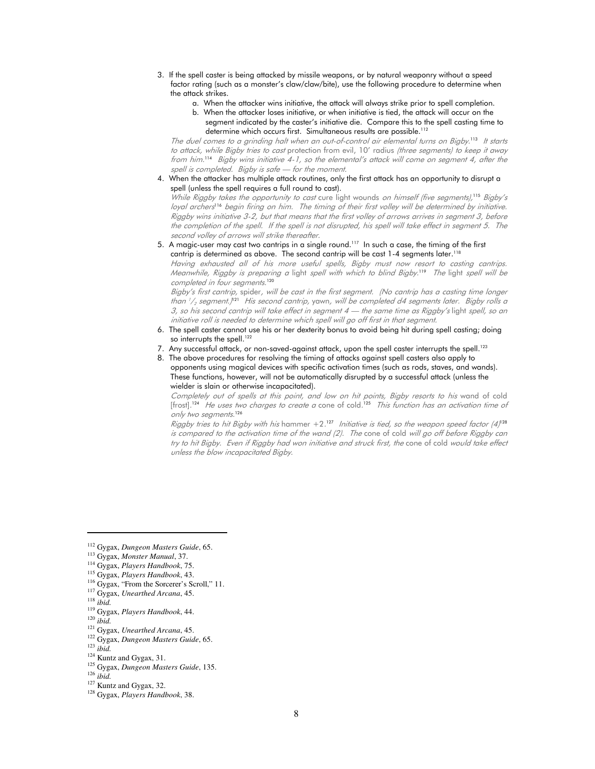- 3. If the spell caster is being attacked by missile weapons, or by natural weaponry without a speed factor rating (such as a monster's claw/claw/bite), use the following procedure to determine when the attack strikes.
	- a. When the attacker wins initiative, the attack will always strike prior to spell completion.
	- b. When the attacker loses initiative, or when initiative is tied, the attack will occur on the segment indicated by the caster's initiative die. Compare this to the spell casting time to determine which occurs first. Simultaneous results are possible.<sup>112</sup>

The duel comes to a grinding halt when an out-of-control air elemental turns on Bigby.<sup>113</sup> It starts to attack, while Bigby tries to cast protection from evil, 10' radius (three segments) to keep it away from him. <sup>114</sup> Bigby wins initiative 4-1, so the elemental's attack will come on segment 4, after the spell is completed. Bigby is safe - for the moment.

 4. When the attacker has multiple attack routines, only the first attack has an opportunity to disrupt a spell (unless the spell requires a full round to cast).

While Riggby takes the opportunity to cast cure light wounds on himself (five segments),<sup>115</sup> Bigby's loyal archers<sup>116</sup> begin firing on him. The timing of their first volley will be determined by initiative. Riggby wins initiative 3-2, but that means that the first volley of arrows arrives in segment 3, before the completion of the spell. If the spell is not disrupted, his spell will take effect in segment 5. The second volley of arrows will strike thereafter.

5. A magic-user may cast two cantrips in a single round.<sup>117</sup> In such a case, the timing of the first cantrip is determined as above. The second cantrip will be cast 1-4 segments later.<sup>118</sup>

Having exhausted all of his more useful spells, Bigby must now resort to casting cantrips. Meanwhile, Riggby is preparing a light spell with which to blind Bigby. <sup>119</sup> The light spell will be completed in four segments. 120

Bigby's first cantrip, spider, will be cast in the first segment. (No cantrip has a casting time longer than 1/<sub>2</sub> segment.)<sup>121</sup> His second cantrip, yawn, *will be completed d4 segments later. Bigby rolls a* 3, so his second cantrip will take effect in segment 4 — the same time as Riggby's light spell, so an initiative roll is needed to determine which spell will go off first in that segment.

- 6. The spell caster cannot use his or her dexterity bonus to avoid being hit during spell casting; doing so interrupts the spell.<sup>122</sup>
- 7. Any successful attack, or non-saved-against attack, upon the spell caster interrupts the spell.<sup>123</sup>
- 8. The above procedures for resolving the timing of attacks against spell casters also apply to opponents using magical devices with specific activation times (such as rods, staves, and wands). These functions, however, will not be automatically disrupted by a successful attack (unless the wielder is slain or otherwise incapacitated).

Completely out of spells at this point, and low on hit points, Bigby resorts to his wand of cold [frost]. <sup>124</sup> He uses two charges to create a cone of cold. <sup>125</sup> This function has an activation time of only two segments. 126

*Riggby tries to hit Bigby with his* hammer  $+2.^{127}$  *Initiative is tied, so the weapon speed factor (4)* $^{128}$ is compared to the activation time of the wand (2). The cone of cold will go off before Riggby can try to hit Bigby. Even if Riggby had won initiative and struck first, the cone of cold would take effect unless the blow incapacitated Bigby.

- <sup>121</sup> Gygax, *Unearthed Arcana*, 45.
- <sup>122</sup> Gygax, *Dungeon Masters Guide*, 65.

<sup>125</sup> Gygax, *Dungeon Masters Guide*, 135.

<sup>127</sup> Kuntz and Gygax, 32.

<sup>112</sup> Gygax, *Dungeon Masters Guide*, 65.

<sup>113</sup> Gygax, *Monster Manual*, 37.

<sup>114</sup> Gygax, *Players Handbook*, 75.

<sup>115</sup> Gygax, *Players Handbook*, 43.

<sup>&</sup>lt;sup>116</sup> Gygax, "From the Sorcerer's Scroll," 11.

<sup>117</sup> Gygax, *Unearthed Arcana*, 45.

<sup>118</sup> *ibid.* 

<sup>119</sup> Gygax, *Players Handbook*, 44.

<sup>120</sup> *ibid.* 

<sup>123</sup> *ibid.* 

<sup>124</sup> Kuntz and Gygax, 31.

<sup>126</sup> *ibid.* 

<sup>128</sup> Gygax, *Players Handbook*, 38.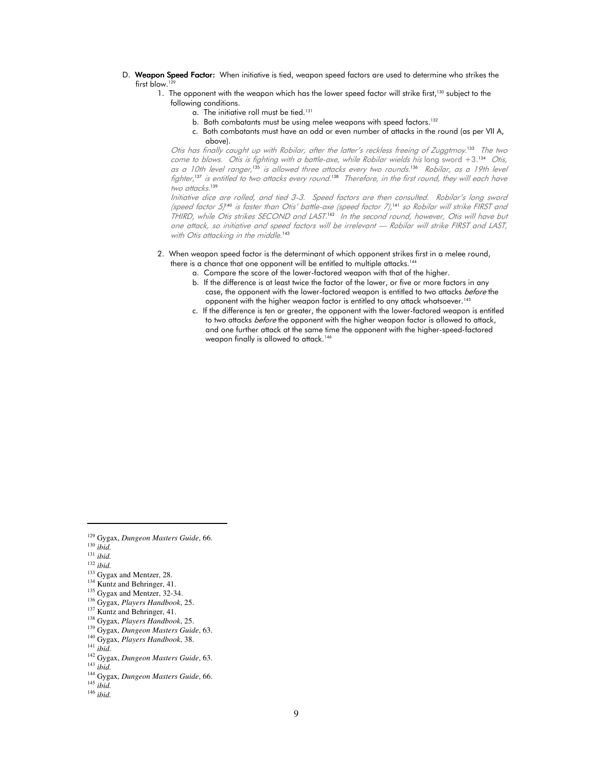- D. Weapon Speed Factor: When initiative is tied, weapon speed factors are used to determine who strikes the first blow.<sup>1</sup>
	- 1. The opponent with the weapon which has the lower speed factor will strike first,<sup>130</sup> subject to the following conditions.
		- a. The initiative roll must be tied.<sup>131</sup>
		- b. Both combatants must be using melee weapons with speed factors.<sup>132</sup>
		- c. Both combatants must have an odd or even number of attacks in the round (as per VII A, above).

Otis has finally caught up with Robilar, after the latter's reckless freeing of Zuggtmoy. <sup>133</sup> The two come to blows. Otis is fighting with a battle-axe, while Robilar wields his long sword +3.<sup>134</sup> Otis, as a 10th level ranger,<sup>135</sup> is allowed three attacks every two rounds.<sup>136</sup> Robilar, as a 19th level fighter,<sup>33</sup> is entitled to two attacks every round.<sup>138</sup> Therefore, in the first round, they will each have two attacks.<sup>139</sup>

Initiative dice are rolled, and tied 3-3. Speed factors are then consulted. Robilar's long sword (speed factor 5) <sup>140</sup> is faster than Otis' battle-axe (speed factor 7), <sup>141</sup> so Robilar will strike FIRST and THIRD, while Otis strikes SECOND and LAST.<sup>142</sup> In the second round, however, Otis will have but one attack, so initiative and speed factors will be irrelevant — Robilar will strike FIRST and LAST, with Otis attacking in the middle.<sup>143</sup>

- 2. When weapon speed factor is the determinant of which opponent strikes first in a melee round,
	- there is a chance that one opponent will be entitled to multiple attacks.<sup>144</sup>
		- a. Compare the score of the lower-factored weapon with that of the higher.
		- b. If the difference is at least twice the factor of the lower, or five or more factors in any case, the opponent with the lower-factored weapon is entitled to two attacks *before* the opponent with the higher weapon factor is entitled to any attack whatsoever.<sup>145</sup>
		- c. If the difference is ten or greater, the opponent with the lower-factored weapon is entitled to two attacks *before* the opponent with the higher weapon factor is allowed to attack, and one further attack at the same time the opponent with the higher-speed-factored weapon finally is allowed to attack.<sup>146</sup>

<sup>129</sup> Gygax, *Dungeon Masters Guide*, 66.

<sup>130</sup> *ibid.* 

<sup>131</sup> *ibid.* 

<sup>132</sup> *ibid.* 

<sup>&</sup>lt;sup>133</sup> Gygax and Mentzer, 28.

<sup>&</sup>lt;sup>134</sup> Kuntz and Behringer, 41.

<sup>&</sup>lt;sup>135</sup> Gygax and Mentzer, 32-34.

<sup>136</sup> Gygax, *Players Handbook*, 25.

<sup>&</sup>lt;sup>137</sup> Kuntz and Behringer, 41.

<sup>138</sup> Gygax, *Players Handbook*, 25.

<sup>139</sup> Gygax, *Dungeon Masters Guide*, 63.

<sup>140</sup> Gygax, *Players Handbook*, 38.

<sup>141</sup> *ibid.* 

<sup>142</sup> Gygax, *Dungeon Masters Guide*, 63.

<sup>143</sup> *ibid.* 

<sup>144</sup> Gygax, *Dungeon Masters Guide*, 66.

<sup>145</sup> *ibid.* 

<sup>146</sup> *ibid.*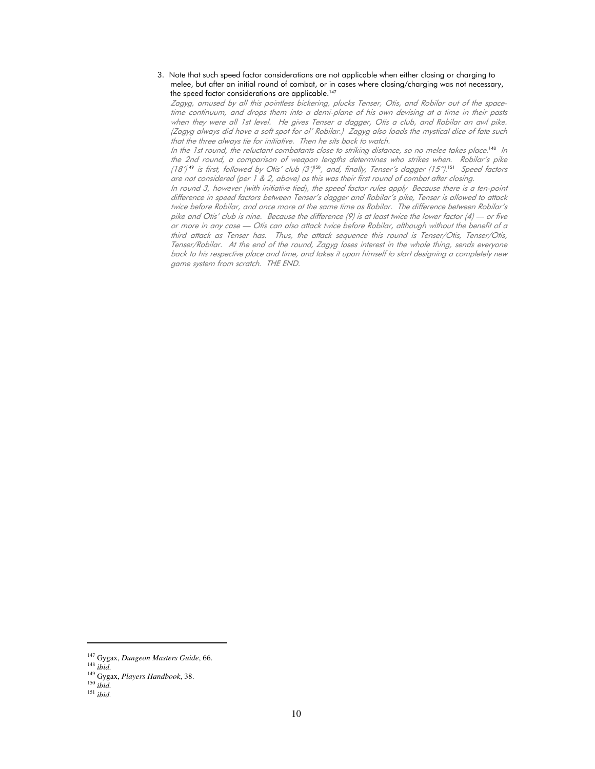3. Note that such speed factor considerations are not applicable when either closing or charging to melee, but after an initial round of combat, or in cases where closing/charging was not necessary, the speed factor considerations are applicable.<sup>147</sup>

Zagyg, amused by all this pointless bickering, plucks Tenser, Otis, and Robilar out of the spacetime continuum, and drops them into a demi-plane of his own devising at a time in their pasts when they were all 1st level. He gives Tenser a dagger, Otis a club, and Robilar an awl pike. (Zagyg always did have a soft spot for ol' Robilar.) Zagyg also loads the mystical dice of fate such that the three always tie for initiative. Then he sits back to watch.

In the 1st round, the reluctant combatants close to striking distance, so no melee takes place. <sup>148</sup> In the 2nd round, a comparison of weapon lengths determines who strikes when. Robilar's pike (18') $^{19}$  is first, followed by Otis' club (3') $^{150}$ , and, finally, Tenser's dagger (15"). $^{151}$  Speed factors are not considered (per 1 & 2, above) as this was their first round of combat after closing.

In round 3, however (with initiative tied), the speed factor rules apply Because there is a ten-point difference in speed factors between Tenser's dagger and Robilar's pike, Tenser is allowed to attack twice before Robilar, and once more at the same time as Robilar. The difference between Robilar's pike and Otis' club is nine. Because the difference (9) is at least twice the lower factor (4) — or five or more in any case — Otis can also attack twice before Robilar, although without the benefit of a third attack as Tenser has. Thus, the attack sequence this round is Tenser/Otis, Tenser/Otis, Tenser/Robilar. At the end of the round, Zagyg loses interest in the whole thing, sends everyone back to his respective place and time, and takes it upon himself to start designing a completely new game system from scratch. THE END.

<sup>147</sup> Gygax, *Dungeon Masters Guide*, 66.

<sup>148</sup> *ibid.* 

<sup>149</sup> Gygax, *Players Handbook*, 38.

<sup>150</sup> *ibid.* 

<sup>151</sup> *ibid.*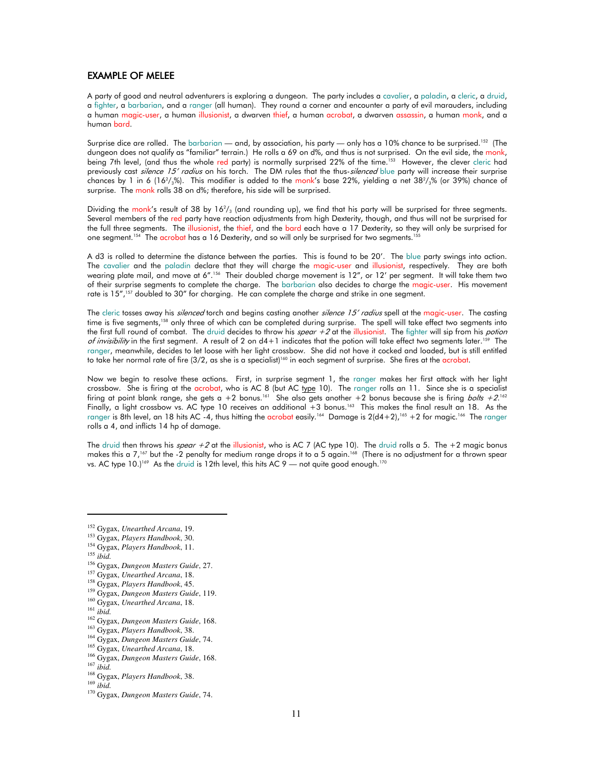### EXAMPLE OF MELEE

A party of good and neutral adventurers is exploring a dungeon. The party includes a cavalier, a paladin, a cleric, a druid, a fighter, a barbarian, and a ranger (all human). They round a corner and encounter a party of evil marauders, including a human magic-user, a human illusionist, a dwarven thief, a human acrobat, a dwarven assassin, a human monk, and a human bard.

Surprise dice are rolled. The barbarian — and, by association, his party — only has a 10% chance to be surprised.<sup>152</sup> (The dungeon does not qualify as "familiar" terrain.) He rolls a 69 on d%, and thus is not surprised. On the evil side, the monk, being 7th level, (and thus the whole red party) is normally surprised 22% of the time.<sup>153</sup> However, the clever cleric had previously cast silence 15' radius on his torch. The DM rules that the thus-silenced blue party will increase their surprise chances by 1 in 6 (16<sup>2</sup>/<sub>3</sub>%). This modifier is added to the <u>monk</u>'s base 22%, yielding a net 38<sup>2</sup>/<sub>3</sub>% (or 39%) chance of surprise. The monk rolls 38 on d%; therefore, his side will be surprised.

Dividing the monk's result of 38 by 16<sup>2</sup>/<sub>3</sub> (and rounding up), we find that his party will be surprised for three segments. Several members of the red party have reaction adjustments from high Dexterity, though, and thus will not be surprised for the full three segments. The illusionist, the thief, and the bard each have a 17 Dexterity, so they will only be surprised for one segment.<sup>154</sup> The acrobat has a 16 Dexterity, and so will only be surprised for two segments.<sup>155</sup>

A d3 is rolled to determine the distance between the parties. This is found to be 20'. The blue party swings into action. The cavalier and the paladin declare that they will charge the magic-user and illusionist, respectively. They are both wearing plate mail, and move at 6".<sup>156</sup> Their doubled charge movement is 12", or 12' per segment. It will take them two of their surprise segments to complete the charge. The barbarian also decides to charge the magic-user. His movement rate is 15",<sup>157</sup> doubled to 30" for charging. He can complete the charge and strike in one segment.

The cleric tosses away his *silenced* torch and begins casting another *silence 15' radius* spell at the magic-user. The casting time is five segments,<sup>158</sup> only three of which can be completed during surprise. The spell will take effect two segments into the first full round of combat. The druid decides to throw his spear  $+2$  at the illusionist. The fighter will sip from his potion of invisibility in the first segment. A result of 2 on  $d+1$  indicates that the potion will take effect two segments later.<sup>159</sup> The ranger, meanwhile, decides to let loose with her light crossbow. She did not have it cocked and loaded, but is still entitled to take her normal rate of fire (3/2, as she is a specialist)<sup>160</sup> in each segment of surprise. She fires at the acrobat.

Now we begin to resolve these actions. First, in surprise segment 1, the ranger makes her first attack with her light crossbow. She is firing at the acrobat, who is AC 8 (but AC type 10). The ranger rolls an 11. Since she is a specialist firing at point blank range, she gets a +2 bonus.<sup>161</sup> She also gets another +2 bonus because she is firing *bolts +2*.<sup>162</sup> Finally, a light crossbow vs. AC type 10 receives an additional  $+3$  bonus.<sup>163</sup> This makes the final result an 18. As the ranger is 8th level, an 18 hits AC -4, thus hitting the acrobat easily.<sup>164</sup> Damage is 2(d4+2),<sup>165</sup> +2 for magic.<sup>166</sup> The ranger rolls a 4, and inflicts 14 hp of damage.

The druid then throws his spear  $+2$  at the illusionist, who is AC 7 (AC type 10). The druid rolls a 5. The  $+2$  magic bonus makes this a 7,<sup>167</sup> but the -2 penalty for medium range drops it to a 5 again.<sup>168</sup> (There is no adjustment for a thrown spear vs. AC type 10.)<sup>169</sup> As the druid is 12th level, this hits AC 9 — not quite good enough.<sup>170</sup>

<sup>155</sup> *ibid.*

<sup>158</sup> Gygax, *Players Handbook*, 45.

<sup>152</sup> Gygax, *Unearthed Arcana*, 19.

<sup>153</sup> Gygax, *Players Handbook*, 30.

<sup>154</sup> Gygax, *Players Handbook*, 11.

<sup>156</sup> Gygax, *Dungeon Masters Guide*, 27.

<sup>157</sup> Gygax, *Unearthed Arcana*, 18.

<sup>159</sup> Gygax, *Dungeon Masters Guide*, 119.

<sup>160</sup> Gygax, *Unearthed Arcana*, 18.

<sup>161</sup> *ibid.*

<sup>162</sup> Gygax, *Dungeon Masters Guide*, 168.

<sup>163</sup> Gygax, *Players Handbook*, 38.

<sup>164</sup> Gygax, *Dungeon Masters Guide*, 74.

<sup>165</sup> Gygax, *Unearthed Arcana*, 18.

<sup>166</sup> Gygax, *Dungeon Masters Guide*, 168.

<sup>167</sup> *ibid.*

<sup>168</sup> Gygax, *Players Handbook*, 38.

<sup>169</sup> *ibid.*

<sup>170</sup> Gygax, *Dungeon Masters Guide*, 74.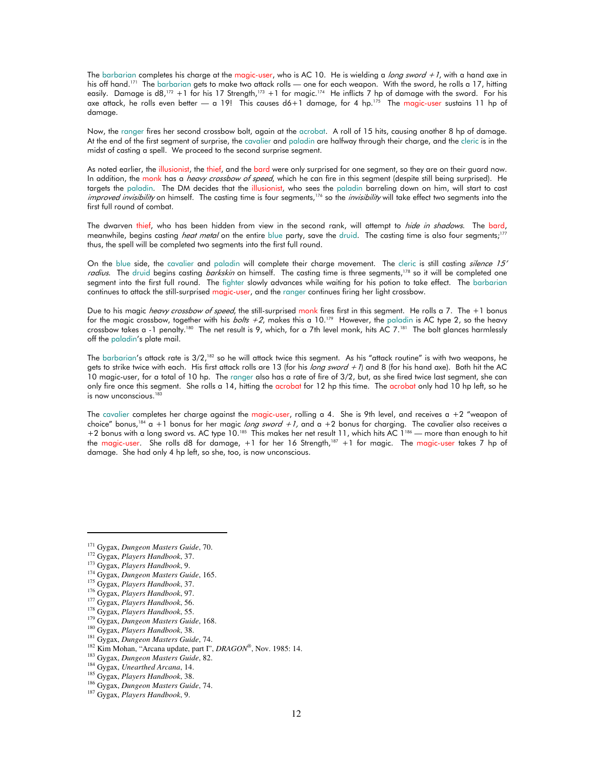The barbarian completes his charge at the magic-user, who is AC 10. He is wielding a *long sword +1*, with a hand axe in his off hand.<sup>171</sup> The barbarian gets to make two attack rolls — one for each weapon. With the sword, he rolls a 17, hitting easily. Damage is d8,<sup>172</sup> +1 for his 17 Strength,<sup>173</sup> +1 for magic.<sup>174</sup> He inflicts 7 hp of damage with the sword. For his axe attack, he rolls even better  $-$  a 19! This causes  $d6+1$  damage, for 4 hp.<sup>175</sup> The magic-user sustains 11 hp of damage.

Now, the ranger fires her second crossbow bolt, again at the acrobat. A roll of 15 hits, causing another 8 hp of damage. At the end of the first segment of surprise, the cavalier and paladin are halfway through their charge, and the cleric is in the midst of casting a spell. We proceed to the second surprise segment.

As noted earlier, the illusionist, the thief, and the bard were only surprised for one segment, so they are on their guard now. In addition, the monk has a *heavy crossbow of speed*, which he can fire in this segment (despite still being surprised). He targets the paladin. The DM decides that the illusionist, who sees the paladin barreling down on him, will start to cast improved invisibility on himself. The casting time is four segments,<sup>176</sup> so the *invisibility* will take effect two segments into the first full round of combat.

The dwarven thief, who has been hidden from view in the second rank, will attempt to *hide in shadows*. The bard, meanwhile, begins casting *heat metal* on the entire blue party, save the druid. The casting time is also four segments;<sup>177</sup> thus, the spell will be completed two segments into the first full round.

On the blue side, the cavalier and paladin will complete their charge movement. The cleric is still casting silence 15' radius. The druid begins casting barkskin on himself. The casting time is three segments,<sup>178</sup> so it will be completed one segment into the first full round. The fighter slowly advances while waiting for his potion to take effect. The barbarian continues to attack the still-surprised magic-user, and the ranger continues firing her light crossbow.

Due to his magic *heavy crossbow of speed*, the still-surprised monk fires first in this segment. He rolls a 7. The +1 bonus for the magic crossbow, together with his  $b \circ l$ ts +2, makes this a 10.<sup>179</sup> However, the paladin is AC type 2, so the heavy crossbow takes a -1 penalty.<sup>180</sup> The net result is 9, which, for a 7th level monk, hits AC 7.<sup>181</sup> The bolt glances harmlessly off the paladin's plate mail.

The barbarian's attack rate is 3/2,<sup>182</sup> so he will attack twice this segment. As his "attack routine" is with two weapons, he gets to strike twice with each. His first attack rolls are 13 (for his long sword +1) and 8 (for his hand axe). Both hit the AC 10 magic-user, for a total of 10 hp. The ranger also has a rate of fire of 3/2, but, as she fired twice last segment, she can only fire once this segment. She rolls a 14, hitting the acrobat for 12 hp this time. The acrobat only had 10 hp left, so he is now unconscious.<sup>183</sup>

The cavalier completes her charge against the magic-user, rolling a 4. She is 9th level, and receives a  $+2$  "weapon of choice" bonus,<sup>184</sup> a +1 bonus for her magic long sword +1, and a +2 bonus for charging. The cavalier also receives a +2 bonus with a long sword vs. AC type 10.<sup>185</sup> This makes her net result 11, which hits AC 1<sup>186</sup> — more than enough to hit the magic-user. She rolls d8 for damage, +1 for her 16 Strength,<sup>187</sup> +1 for magic. The magic-user takes 7 hp of damage. She had only 4 hp left, so she, too, is now unconscious.

<sup>171</sup> Gygax, *Dungeon Masters Guide*, 70.

<sup>172</sup> Gygax, *Players Handbook*, 37.

<sup>173</sup> Gygax, *Players Handbook*, 9.

<sup>174</sup> Gygax, *Dungeon Masters Guide*, 165.

<sup>175</sup> Gygax, *Players Handbook*, 37.

<sup>176</sup> Gygax, *Players Handbook*, 97.

<sup>177</sup> Gygax, *Players Handbook*, 56.

<sup>178</sup> Gygax, *Players Handbook*, 55.

<sup>179</sup> Gygax, *Dungeon Masters Guide*, 168.

<sup>180</sup> Gygax, *Players Handbook*, 38.

<sup>181</sup> Gygax, *Dungeon Masters Guide*, 74. <sup>182</sup> Kim Mohan, "Arcana update, part I", *DRAGON®* , Nov. 1985: 14.

<sup>183</sup> Gygax, *Dungeon Masters Guide*, 82.

<sup>184</sup> Gygax, *Unearthed Arcana*, 14.

<sup>185</sup> Gygax, *Players Handbook*, 38.

<sup>186</sup> Gygax, *Dungeon Masters Guide*, 74.

<sup>187</sup> Gygax, *Players Handbook*, 9.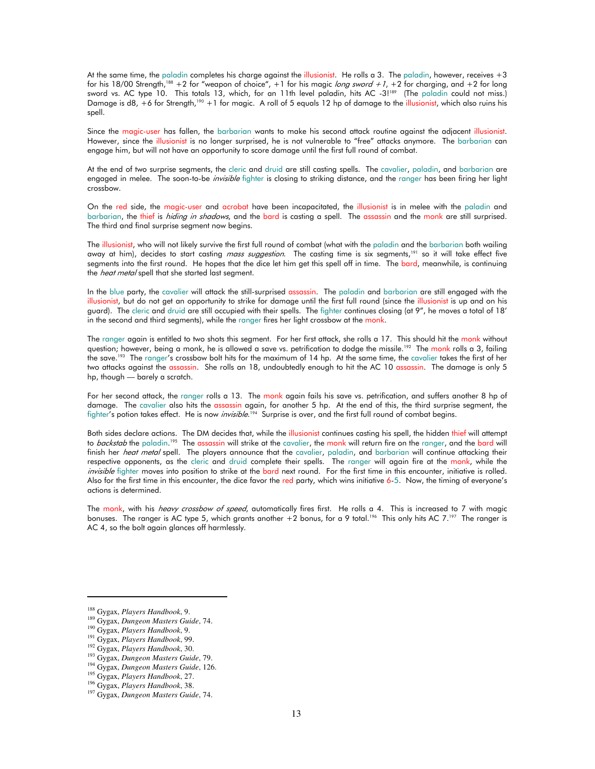At the same time, the paladin completes his charge against the illusionist. He rolls a 3. The paladin, however, receives +3 for his 18/00 Strength,<sup>188</sup> +2 for "weapon of choice", +1 for his magic long sword +1, +2 for charging, and +2 for long sword vs. AC type 10. This totals 13, which, for an 11th level paladin, hits AC -3!<sup>189</sup> (The paladin could not miss.) Damage is d8, +6 for Strength,<sup>190</sup> +1 for magic. A roll of 5 equals 12 hp of damage to the illusionist, which also ruins his spell.

Since the magic-user has fallen, the barbarian wants to make his second attack routine against the adjacent illusionist. However, since the illusionist is no longer surprised, he is not vulnerable to "free" attacks anymore. The barbarian can engage him, but will not have an opportunity to score damage until the first full round of combat.

At the end of two surprise segments, the cleric and druid are still casting spells. The cavalier, paladin, and barbarian are engaged in melee. The soon-to-be *invisible* fighter is closing to striking distance, and the ranger has been firing her light crossbow.

On the red side, the magic-user and acrobat have been incapacitated, the illusionist is in melee with the paladin and barbarian, the thief is hiding in shadows, and the bard is casting a spell. The assassin and the monk are still surprised. The third and final surprise segment now begins.

The illusionist, who will not likely survive the first full round of combat (what with the paladin and the barbarian both wailing away at him), decides to start casting *mass suggestion*. The casting time is six segments,<sup>191</sup> so it will take effect five segments into the first round. He hopes that the dice let him get this spell off in time. The bard, meanwhile, is continuing the *heat metal* spell that she started last segment.

In the blue party, the cavalier will attack the still-surprised assassin. The paladin and barbarian are still engaged with the illusionist, but do not get an opportunity to strike for damage until the first full round (since the illusionist is up and on his guard). The cleric and druid are still occupied with their spells. The fighter continues closing (at 9", he moves a total of 18' in the second and third segments), while the ranger fires her light crossbow at the monk.

The ranger again is entitled to two shots this segment. For her first attack, she rolls a 17. This should hit the monk without question; however, being a monk, he is allowed a save vs. petrification to dodge the missile.<sup>192</sup> The monk rolls a 3, failing the save.<sup>193</sup> The ranger's crossbow bolt hits for the maximum of 14 hp. At the same time, the cavalier takes the first of her two attacks against the assassin. She rolls an 18, undoubtedly enough to hit the AC 10 assassin. The damage is only 5 hp, though — barely a scratch.

For her second attack, the ranger rolls a 13. The monk again fails his save vs. petrification, and suffers another 8 hp of damage. The cavalier also hits the assassin again, for another 5 hp. At the end of this, the third surprise segment, the fighter's potion takes effect. He is now *invisible*.<sup>194</sup> Surprise is over, and the first full round of combat begins.

Both sides declare actions. The DM decides that, while the illusionist continues casting his spell, the hidden thief will attempt to *backstab* the paladin.<sup>195</sup> The assassin will strike at the cavalier, the <u>monk</u> will return fire on the ranger, and the bard will finish her *heat metal* spell. The players announce that the cavalier, paladin, and barbarian will continue attacking their respective opponents, as the cleric and druid complete their spells. The ranger will again fire at the monk, while the invisible fighter moves into position to strike at the bard next round. For the first time in this encounter, initiative is rolled. Also for the first time in this encounter, the dice favor the red party, which wins initiative 6-5. Now, the timing of everyone's actions is determined.

The monk, with his *heavy crossbow of speed*, automatically fires first. He rolls a 4. This is increased to 7 with magic bonuses. The ranger is AC type 5, which grants another  $+2$  bonus, for a 9 total.<sup>196</sup> This only hits AC 7.<sup>197</sup> The ranger is AC 4, so the bolt again glances off harmlessly.

<sup>188</sup> Gygax, *Players Handbook*, 9.

<sup>189</sup> Gygax, *Dungeon Masters Guide*, 74.

<sup>190</sup> Gygax, *Players Handbook*, 9.

<sup>191</sup> Gygax, *Players Handbook*, 99.

<sup>192</sup> Gygax, *Players Handbook*, 30.

<sup>193</sup> Gygax, *Dungeon Masters Guide*, 79. <sup>194</sup> Gygax, *Dungeon Masters Guide*, 126.

<sup>195</sup> Gygax, *Players Handbook*, 27.

<sup>196</sup> Gygax, *Players Handbook*, 38.

<sup>197</sup> Gygax, *Dungeon Masters Guide*, 74.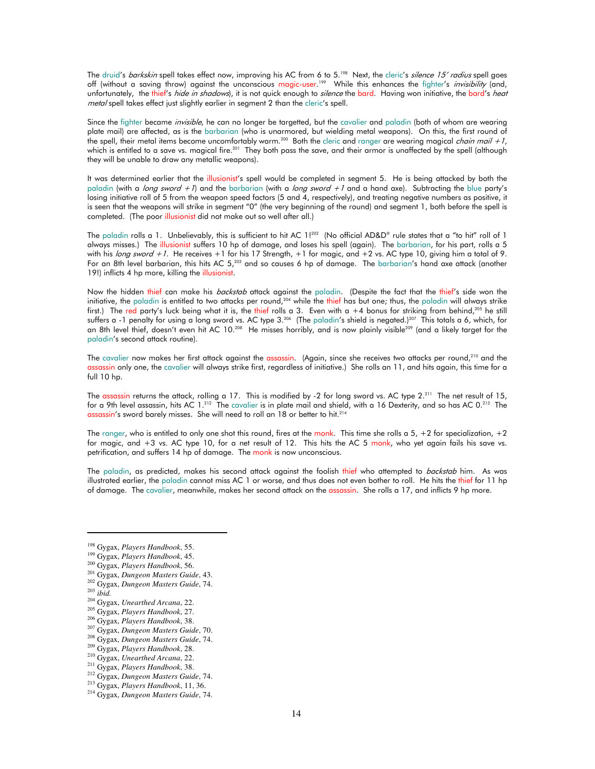The druid's *barkskin* spell takes effect now, improving his AC from 6 to 5.<sup>198</sup> Next, the cleric's *silence 15' radius* spell goes off (without a saving throw) against the unconscious magic-user.<sup>199</sup> While this enhances the fighter's *invisibility* (and, unfortunately, the thief's *hide in shadows*), it is not quick enough to *silence* the bard. Having won initiative, the bard's *heat* metal spell takes effect just slightly earlier in segment 2 than the cleric's spell.

Since the fighter became *invisible*, he can no longer be targetted, but the cavalier and paladin (both of whom are wearing plate mail) are affected, as is the barbarian (who is unarmored, but wielding metal weapons). On this, the first round of the spell, their metal items become uncomfortably warm.<sup>200</sup> Both the cleric and ranger are wearing magical *chain mail +1*, which is entitled to a save vs. magical fire.<sup>201</sup> They both pass the save, and their armor is unaffected by the spell (although they will be unable to draw any metallic weapons).

It was determined earlier that the illusionist's spell would be completed in segment 5. He is being attacked by both the paladin (with a long sword +1) and the barbarian (with a long sword +1 and a hand axe). Subtracting the blue party's losing initiative roll of 5 from the weapon speed factors (5 and 4, respectively), and treating negative numbers as positive, it is seen that the weapons will strike in segment "0" (the very beginning of the round) and segment 1, both before the spell is completed. (The poor *illusionist* did not make out so well after all.)

The paladin rolls a 1. Unbelievably, this is sufficient to hit AC 1!<sup>202</sup> (No official AD&D® rule states that a "to hit" roll of 1 always misses.) The illusionist suffers 10 hp of damage, and loses his spell (again). The barbarian, for his part, rolls a 5 with his *long sword +1*. He receives +1 for his 17 Strength, +1 for magic, and +2 vs. AC type 10, giving him a total of 9. For an 8th level barbarian, this hits AC  $5$ ,<sup>203</sup> and so causes 6 hp of damage. The barbarian's hand axe attack (another 19!) inflicts 4 hp more, killing the illusionist.

Now the hidden thief can make his *backstab* attack against the paladin. (Despite the fact that the thief's side won the initiative, the paladin is entitled to two attacks per round,<sup>204</sup> while the thief has but one; thus, the paladin will always strike first.) The red party's luck being what it is, the thief rolls a 3. Even with a +4 bonus for striking from behind,<sup>205</sup> he still suffers a -1 penalty for using a long sword vs. AC type  $3.^{206}$  (The paladin's shield is negated.)<sup>207</sup> This totals a 6, which, for an 8th level thief, doesn't even hit AC 10.<sup>208</sup> He misses horribly, and is now plainly visible<sup>209</sup> (and a likely target for the paladin's second attack routine).

The cavalier now makes her first attack against the <mark>assassin. (Again, since she receives two attacks per round,<sup>210</sup> and the</mark> assassin only one, the cavalier will always strike first, regardless of initiative.) She rolls an 11, and hits again, this time for a full  $10$  hp.

The assassin returns the attack, rolling a 17. This is modified by -2 for long sword vs. AC type 2.<sup>211</sup> The net result of 15, for a 9th level assassin, hits AC 1.<sup>212</sup> The cavalier is in plate mail and shield, with a 16 Dexterity, and so has AC 0.<sup>213</sup> The assassin's sword barely misses. She will need to roll an 18 or better to hit.<sup>214</sup>

The ranger, who is entitled to only one shot this round, fires at the monk. This time she rolls a  $5, +2$  for specialization,  $+2$ for magic, and +3 vs. AC type 10, for a net result of 12. This hits the AC 5 monk, who yet again fails his save vs. petrification, and suffers 14 hp of damage. The monk is now unconscious.

The paladin, as predicted, makes his second attack against the foolish thief who attempted to backstab him. As was illustrated earlier, the paladin cannot miss AC 1 or worse, and thus does not even bother to roll. He hits the thief for 11 hp of damage. The cavalier, meanwhile, makes her second attack on the assassin. She rolls a 17, and inflicts 9 hp more.

<sup>207</sup> Gygax, *Dungeon Masters Guide*, 70.

- <sup>209</sup> Gygax, *Players Handbook*, 28.
- <sup>210</sup> Gygax, *Unearthed Arcana*, 22.

<sup>198</sup> Gygax, *Players Handbook*, 55.

<sup>199</sup> Gygax, *Players Handbook*, 45.

<sup>200</sup> Gygax, *Players Handbook*, 56.

<sup>201</sup> Gygax, *Dungeon Masters Guide*, 43.

<sup>202</sup> Gygax, *Dungeon Masters Guide*, 74.

<sup>203</sup> *ibid.*

<sup>204</sup> Gygax, *Unearthed Arcana*, 22.

<sup>205</sup> Gygax, *Players Handbook*, 27.

<sup>206</sup> Gygax, *Players Handbook*, 38.

<sup>208</sup> Gygax, *Dungeon Masters Guide*, 74.

<sup>211</sup> Gygax, *Players Handbook*, 38.

<sup>212</sup> Gygax, *Dungeon Masters Guide*, 74. <sup>213</sup> Gygax, *Players Handbook*, 11, 36.

<sup>214</sup> Gygax, *Dungeon Masters Guide*, 74.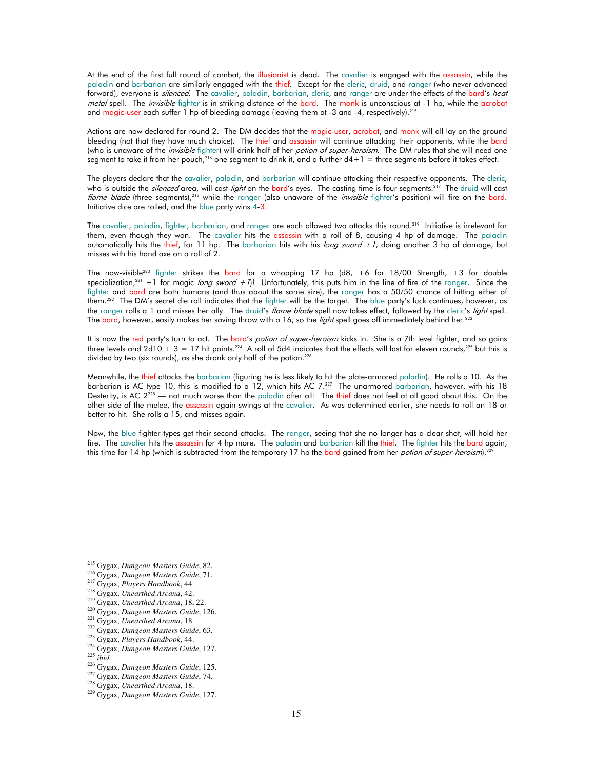At the end of the first full round of combat, the illusionist is dead. The cavalier is engaged with the assassin, while the paladin and barbarian are similarly engaged with the thief. Except for the cleric, druid, and ranger (who never advanced forward), everyone is *silenced*. The cavalier, paladin, barbarian, cleric, and ranger are under the effects of the bard's heat metal spell. The *invisible* fighter is in striking distance of the bard. The monk is unconscious at -1 hp, while the acrobat and magic-user each suffer 1 hp of bleeding damage (leaving them at -3 and -4, respectively).<sup>215</sup>

Actions are now declared for round 2. The DM decides that the magic-user, acrobat, and monk will all lay on the ground bleeding (not that they have much choice). The thief and assassin will continue attacking their opponents, while the bard (who is unaware of the *invisible* fighter) will drink half of her *potion of super-heroism*. The DM rules that she will need one segment to take it from her pouch, $^{216}$  one segment to drink it, and a further d4+1 = three segments before it takes effect.

The players declare that the cavalier, paladin, and barbarian will continue attacking their respective opponents. The cleric, who is outside the *silenced* area, will cast *light* on the bard's eyes. The casting time is four segments.<sup>217</sup> The druid will cast flame blade (three segments),<sup>218</sup> while the ranger (also unaware of the *invisible* fighter's position) will fire on the bard. Initiative dice are rolled, and the blue party wins 4-3.

The cavalier, paladin, fighter, barbarian, and ranger are each allowed two attacks this round.<sup>219</sup> Initiative is irrelevant for them, even though they won. The cavalier hits the assassin with a roll of 8, causing 4 hp of damage. The paladin automatically hits the thief, for 11 hp. The barbarian hits with his long sword  $+1$ , doing another 3 hp of damage, but misses with his hand axe on a roll of 2.

The now-visible<sup>220</sup> fighter strikes the bard for a whopping 17 hp (d8, +6 for 18/00 Strength, +3 for double specialization,<sup>221</sup> +1 for magic long sword +7)! Unfortunately, this puts him in the line of fire of the ranger. Since the fighter and bard are both humans (and thus about the same size), the ranger has a 50/50 chance of hitting either of them.<sup>222</sup> The DM's secret die roll indicates that the fighter will be the target. The blue party's luck continues, however, as the ranger rolls a 1 and misses her ally. The druid's *flame blade* spell now takes effect, followed by the cleric's *light* spell. The bard, however, easily makes her saving throw with a 16, so the *light* spell goes off immediately behind her.<sup>223</sup>

It is now the red party's turn to act. The bard's *potion of super-heroism* kicks in. She is a 7th level fighter, and so gains three levels and  $2d10 + 3 = 17$  hit points.<sup>224</sup> A roll of 5d4 indicates that the effects will last for eleven rounds,<sup>225</sup> but this is divided by two (six rounds), as she drank only half of the potion.<sup>226</sup>

Meanwhile, the thief attacks the barbarian (figuring he is less likely to hit the plate-armored paladin). He rolls a 10. As the barbarian is AC type 10, this is modified to a 12, which hits AC 7.<sup>227</sup> The unarmored barbarian, however, with his 18 Dexterity, is AC  $2^{228}$  — not much worse than the paladin after all! The thief does not feel at all good about this. On the other side of the melee, the assassin again swings at the cavalier. As was determined earlier, she needs to roll an 18 or better to hit. She rolls a 15, and misses again.

Now, the blue fighter-types get their second attacks. The ranger, seeing that she no longer has a clear shot, will hold her fire. The cavalier hits the assassin for 4 hp more. The paladin and barbarian kill the thief. The fighter hits the bard again, this time for 14 hp (which is subtracted from the temporary 17 hp the bard gained from her *potion of super-heroism*).<sup>22</sup>

<sup>215</sup> Gygax, *Dungeon Masters Guide*, 82.

<sup>216</sup> Gygax, *Dungeon Masters Guide*, 71.

<sup>217</sup> Gygax, *Players Handbook*, 44.

<sup>218</sup> Gygax, *Unearthed Arcana*, 42.

<sup>219</sup> Gygax, *Unearthed Arcana*, 18, 22.

<sup>220</sup> Gygax, *Dungeon Masters Guide*, 126.

<sup>221</sup> Gygax, *Unearthed Arcana*, 18.

<sup>222</sup> Gygax, *Dungeon Masters Guide*, 63.

<sup>223</sup> Gygax, *Players Handbook*, 44. <sup>224</sup> Gygax, *Dungeon Masters Guide*, 127.

<sup>225</sup> *ibid.*

<sup>226</sup> Gygax, *Dungeon Masters Guide*, 125.

<sup>227</sup> Gygax, *Dungeon Masters Guide*, 74.

<sup>228</sup> Gygax, *Unearthed Arcana*, 18.

<sup>229</sup> Gygax, *Dungeon Masters Guide*, 127.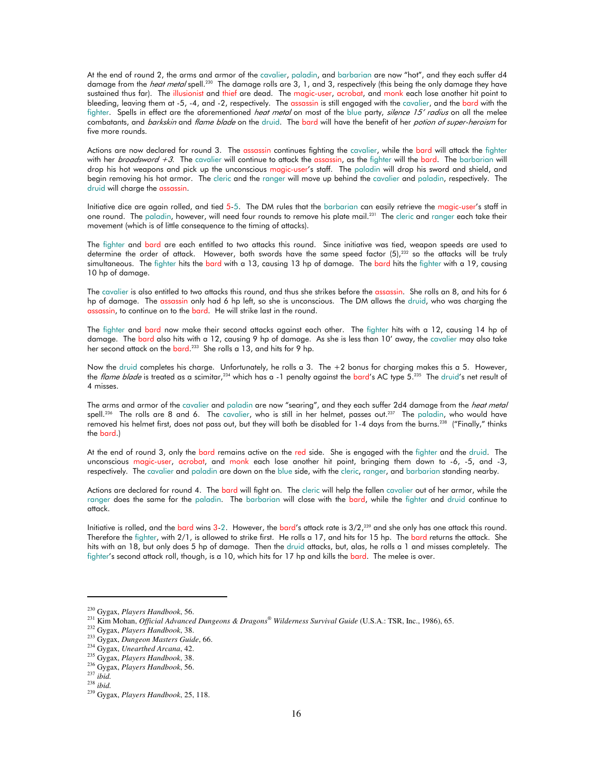At the end of round 2, the arms and armor of the cavalier, paladin, and barbarian are now "hot", and they each suffer d4 damage from the *heat metal* spell.<sup>230</sup> The damage rolls are 3, 1, and 3, respectively (this being the only damage they have sustained thus far). The illusionist and thief are dead. The magic-user, acrobat, and monk each lose another hit point to bleeding, leaving them at -5, -4, and -2, respectively. The assassin is still engaged with the cavalier, and the bard with the fighter. Spells in effect are the aforementioned *heat metal* on most of the blue party, *silence 15' radius* on all the melee combatants, and *barkskin* and *flame blade* on the druid. The bard will have the benefit of her *potion of super-heroism* for five more rounds.

Actions are now declared for round 3. The assassin continues fighting the cavalier, while the bard will attack the fighter with her *broadsword +3*. The cavalier will continue to attack the assassin, as the fighter will the bard. The barbarian will drop his hot weapons and pick up the unconscious magic-user's staff. The paladin will drop his sword and shield, and begin removing his hot armor. The cleric and the ranger will move up behind the cavalier and paladin, respectively. The druid will charge the assassin.

Initiative dice are again rolled, and tied 5-5. The DM rules that the barbarian can easily retrieve the magic-user's staff in one round. The paladin, however, will need four rounds to remove his plate mail.<sup>231</sup> The cleric and ranger each take their movement (which is of little consequence to the timing of attacks).

The fighter and bard are each entitled to two attacks this round. Since initiative was tied, weapon speeds are used to determine the order of attack. However, both swords have the same speed factor  $(5)$ ,<sup>232</sup> so the attacks will be truly simultaneous. The fighter hits the bard with a 13, causing 13 hp of damage. The bard hits the fighter with a 19, causing 10 hp of damage.

The cavalier is also entitled to two attacks this round, and thus she strikes before the assassin. She rolls an 8, and hits for 6 hp of damage. The assassin only had 6 hp left, so she is unconscious. The DM allows the druid, who was charging the assassin, to continue on to the bard. He will strike last in the round.

The fighter and bard now make their second attacks against each other. The fighter hits with a 12, causing 14 hp of damage. The bard also hits with a 12, causing 9 hp of damage. As she is less than 10' away, the cavalier may also take her second attack on the bard.<sup>233</sup> She rolls a 13, and hits for 9 hp.

Now the druid completes his charge. Unfortunately, he rolls a 3. The +2 bonus for charging makes this a 5. However, the *flame blade* is treated as a scimitar,<sup>234</sup> which has a -1 penalty against the bard's AC type 5.<sup>235</sup> The druid's net result of 4 misses.

The arms and armor of the cavalier and paladin are now "searing", and they each suffer 2d4 damage from the *heat metal* spell.<sup>236</sup> The rolls are 8 and 6. The cavalier, who is still in her helmet, passes out.<sup>237</sup> The paladin, who would have removed his helmet first, does not pass out, but they will both be disabled for 1-4 days from the burns.<sup>238</sup> ("Finally," thinks the bard.)

At the end of round 3, only the bard remains active on the red side. She is engaged with the fighter and the druid. The unconscious magic-user, acrobat, and monk each lose another hit point, bringing them down to -6, -5, and -3, respectively. The cavalier and paladin are down on the blue side, with the cleric, ranger, and barbarian standing nearby.

Actions are declared for round 4. The bard will fight on. The cleric will help the fallen cavalier out of her armor, while the ranger does the same for the paladin. The barbarian will close with the bard, while the fighter and druid continue to attack.

Initiative is rolled, and the bard wins 3-2. However, the bard's attack rate is  $3/2$ ,<sup>239</sup> and she only has one attack this round. Therefore the fighter, with 2/1, is allowed to strike first. He rolls a 17, and hits for 15 hp. The bard returns the attack. She hits with an 18, but only does 5 hp of damage. Then the druid attacks, but, alas, he rolls a 1 and misses completely. The fighter's second attack roll, though, is a 10, which hits for 17 hp and kills the bard. The melee is over.

<sup>230</sup> Gygax, *Players Handbook*, 56.

<sup>231</sup> Kim Mohan, *Official Advanced Dungeons & Dragons® Wilderness Survival Guide* (U.S.A.: TSR, Inc., 1986), 65.

<sup>232</sup> Gygax, *Players Handbook*, 38.

<sup>233</sup> Gygax, *Dungeon Masters Guide*, 66.

<sup>234</sup> Gygax, *Unearthed Arcana*, 42.

<sup>235</sup> Gygax, *Players Handbook*, 38.

<sup>236</sup> Gygax, *Players Handbook*, 56. <sup>237</sup> *ibid.*

<sup>238</sup> *ibid.*

<sup>239</sup> Gygax, *Players Handbook*, 25, 118.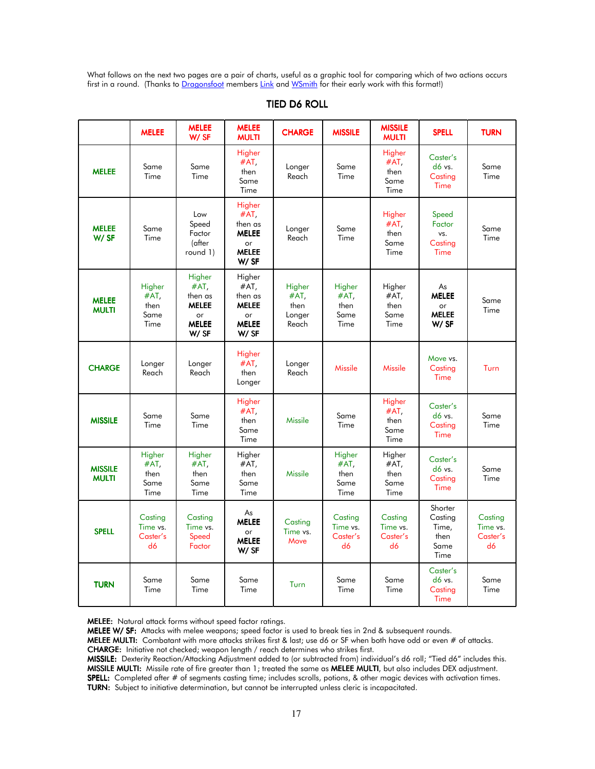What follows on the next two pages are a pair of charts, useful as a graphic tool for comparing which of two actions occurs first in a round. (Thanks to Dragonsfoot members Link and WSmith for their early work with this format!)

| <b>TIED D6 ROLL</b> |  |
|---------------------|--|
|---------------------|--|

|                                | <b>MELEE</b>                           | <b>MELEE</b><br>W/SF                                                    | <b>MELEE</b><br><b>MULTI</b>                                               | <b>CHARGE</b>                                | <b>MISSILE</b>                            | <b>MISSILE</b><br><b>MULTI</b>            | <b>SPELL</b>                                        | <b>TURN</b>                           |
|--------------------------------|----------------------------------------|-------------------------------------------------------------------------|----------------------------------------------------------------------------|----------------------------------------------|-------------------------------------------|-------------------------------------------|-----------------------------------------------------|---------------------------------------|
| <b>MELEE</b>                   | Same<br>Time                           | Same<br>Time                                                            | Higher<br>#AT,<br>then<br>Same<br>Time                                     | Longer<br>Reach                              | Same<br>Time                              | Higher<br>$#AT$ ,<br>then<br>Same<br>Time | Caster's<br>$d6$ vs.<br>Casting<br><b>Time</b>      | Same<br>Time                          |
| <b>MELEE</b><br>W/SF           | Same<br>Time                           | Low<br>Speed<br>Factor<br>(after<br>round 1)                            | Higher<br>$#AT$ ,<br>then as<br><b>MELEE</b><br>or<br><b>MELEE</b><br>W/SF | Longer<br>Reach                              | Same<br>Time                              | Higher<br>#AT,<br>then<br>Same<br>Time    | Speed<br>Factor<br>vs.<br>Casting<br>Time           | Same<br>Time                          |
| <b>MELEE</b><br><b>MULTI</b>   | Higher<br>#AT,<br>then<br>Same<br>Time | Higher<br>#AT,<br>then as<br><b>MELEE</b><br>or<br><b>MELEE</b><br>W/SF | Higher<br>#AT,<br>then as<br><b>MELEE</b><br>or<br><b>MELEE</b><br>W/SF    | Higher<br>$#AT$ ,<br>then<br>Longer<br>Reach | Higher<br>#AT,<br>then<br>Same<br>Time    | Higher<br>#AT,<br>then<br>Same<br>Time    | As<br><b>MELEE</b><br>or<br><b>MELEE</b><br>W/SF    | Same<br>Time                          |
| <b>CHARGE</b>                  | Longer<br>Reach                        | Longer<br>Reach                                                         | Higher<br>#AT,<br>then<br>Longer                                           | Longer<br>Reach                              | <b>Missile</b>                            | <b>Missile</b>                            | Move vs.<br>Casting<br>Time                         | Turn                                  |
| <b>MISSILE</b>                 | Same<br>Time                           | Same<br>Time                                                            | Higher<br>$#AT$ ,<br>then<br>Same<br>Time                                  | <b>Missile</b>                               | Same<br>Time                              | Higher<br>$#AT$ ,<br>then<br>Same<br>Time | Caster's<br>d6 vs.<br>Casting<br>Time               | Same<br>Time                          |
| <b>MISSILE</b><br><b>MULTI</b> | Higher<br>#AT,<br>then<br>Same<br>Time | Higher<br>#AT,<br>then<br>Same<br>Time                                  | Higher<br>#AT,<br>then<br>Same<br>Time                                     | <b>Missile</b>                               | Higher<br>$#AT$ ,<br>then<br>Same<br>Time | Higher<br>#AT,<br>then<br>Same<br>Time    | Caster's<br>d6 vs.<br>Casting<br>Time               | Same<br>Time                          |
| <b>SPELL</b>                   | Casting<br>Time vs.<br>Caster's<br>d6  | Casting<br>Time vs.<br>Speed<br>Factor                                  | As<br><b>MELEE</b><br>or<br><b>MELEE</b><br>$W/$ SF                        | Casting<br>Time vs.<br>Move                  | Casting<br>Time vs.<br>Caster's<br>d6     | Casting<br>Time vs.<br>Caster's<br>d6     | Shorter<br>Casting<br>Time.<br>then<br>Same<br>Time | Casting<br>Time vs.<br>Caster's<br>d6 |
| <b>TURN</b>                    | Same<br>Time                           | Same<br>Time                                                            | Same<br>Time                                                               | Turn                                         | Same<br>Time                              | Same<br>Time                              | Caster's<br>d6 vs.<br>Casting<br>Time               | Same<br>Time                          |

MELEE: Natural attack forms without speed factor ratings.

MELEE W/ SF: Attacks with melee weapons; speed factor is used to break ties in 2nd & subsequent rounds.

MELEE MULTI: Combatant with more attacks strikes first & last; use d6 or SF when both have odd or even # of attacks. CHARGE: Initiative not checked; weapon length / reach determines who strikes first.

MISSILE: MISSILE: Dexterity Reaction/Attacking Adjustment added to (or subtracted from) individual's d6 roll; "Tied d6" includes this. MISSILE MULTI: Missile rate of fire greater than 1; treated the same as MELEE MULTI, but also includes DEX adjustment. SPELL: Completed after # of segments casting time; includes scrolls, potions, & other magic devices with activation times. TURN: Subject to initiative determination, but cannot be interrupted unless cleric is incapacitated.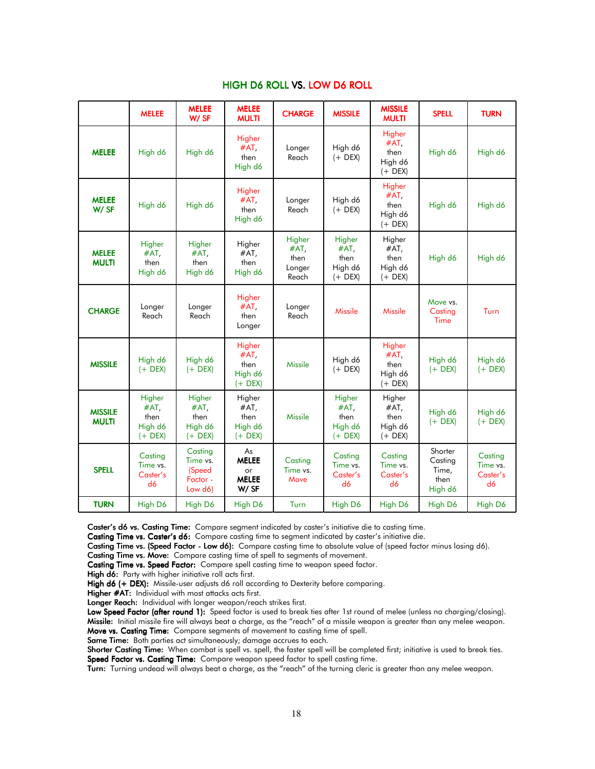# HIGH D6 ROLL VS. LOW D6 ROLL

|                                | <b>MELEE</b>                                      | <b>MELEE</b><br>$W/$ SF                              | <b>MELEE</b><br><b>MULTI</b>                      | <b>CHARGE</b>                             | <b>MISSILE</b>                                    | <b>MISSILE</b><br><b>MULTI</b>                    | <b>SPELL</b>                                   | <b>TURN</b>                           |
|--------------------------------|---------------------------------------------------|------------------------------------------------------|---------------------------------------------------|-------------------------------------------|---------------------------------------------------|---------------------------------------------------|------------------------------------------------|---------------------------------------|
| <b>MELEE</b>                   | High d6                                           | High d6                                              | Higher<br>$#AT$ ,<br>then<br>High d6              | Longer<br>Reach                           | High d6<br>$(+$ DEX)                              | Higher<br>#AT,<br>then<br>High d6<br>$(+$ DEX)    | High d6                                        | High d6                               |
| <b>MELEE</b><br>W/SF           | High d6                                           | High d6                                              | Higher<br>$#AT$ ,<br>then<br>High d6              | Longer<br>Reach                           | High d6<br>$(+$ DEX)                              | Higher<br>#AT,<br>then<br>High d6<br>$(+$ DEX)    | High d6                                        | High d6                               |
| <b>MELEE</b><br><b>MULTI</b>   | Higher<br>$#AT$ ,<br>then<br>High d6              | Higher<br>#AT,<br>then<br>High d6                    | Higher<br>$#AT$ ,<br>then<br>High d6              | Higher<br>#AT,<br>then<br>Longer<br>Reach | Higher<br>$#AT$ ,<br>then<br>High d6<br>$(+$ DEX) | Higher<br>#AT,<br>then<br>High d6<br>$(+$ DEX)    | High d6                                        | High d6                               |
| <b>CHARGE</b>                  | Longer<br>Reach                                   | Longer<br>Reach                                      | Higher<br>$#AT$ ,<br>then<br>Longer               | Longer<br>Reach                           | <b>Missile</b>                                    | <b>Missile</b>                                    | Move vs.<br>Casting<br>Time                    | Turn                                  |
| <b>MISSILE</b>                 | High d6<br>$(+$ DEX)                              | High d6<br>$(+$ DEX)                                 | Higher<br>$#AT$ ,<br>then<br>High d6<br>$(+$ DEX) | <b>Missile</b>                            | High d6<br>$(+$ DEX)                              | Higher<br>$#AT$ ,<br>then<br>High d6<br>$(+$ DEX) | High d6<br>$(+$ DEX)                           | High d6<br>$(+$ DEX)                  |
| <b>MISSILE</b><br><b>MULTI</b> | Higher<br>$#AT$ ,<br>then<br>High d6<br>$(+$ DEX) | Higher<br>#AT,<br>then<br>High d6<br>$(+$ DEX)       | Higher<br>$#AT$ ,<br>then<br>High d6<br>$(+$ DEX) | <b>Missile</b>                            | Higher<br>$#AT$ ,<br>then<br>High d6<br>$(+$ DEX) | Higher<br>#AT,<br>then<br>High d6<br>$(+$ DEX)    | High d6<br>$(+$ DEX)                           | High d6<br>$(+$ DEX)                  |
| <b>SPELL</b>                   | Casting<br>Time vs.<br>Caster's<br>d6             | Casting<br>Time vs.<br>(Speed<br>Factor -<br>Low d6) | As<br><b>MELEE</b><br>or<br><b>MELEE</b><br>W/SF  | Casting<br>Time vs.<br>Move               | Casting<br>Time vs.<br>Caster's<br>d6             | Casting<br>Time vs.<br>Caster's<br>d6             | Shorter<br>Casting<br>Time,<br>then<br>High d6 | Casting<br>Time vs.<br>Caster's<br>d6 |
| <b>TURN</b>                    | High D6                                           | High D6                                              | High D6                                           | Turn                                      | High D6                                           | High D6                                           | High D6                                        | High D6                               |

Caster's d6 vs. Casting Time: Compare segment indicated by caster's initiative die to casting time.

Casting Time vs. Caster's d6: Compare casting time to segment indicated by caster's initiative die.

Casting Time vs. (Speed Factor - Low d6): Compare casting time to absolute value of (speed factor minus losing d6).

Casting Time vs. Move: Compare casting time of spell to segments of movement.

Casting Time vs. Speed Factor: Compare spell casting time to weapon speed factor.

High d6: Party with higher initiative roll acts first.

High d6 (+ DEX): Missile-user adjusts d6 roll according to Dexterity before comparing.

Higher #AT: Individual with most attacks acts first.

Longer Reach: Individual with longer weapon/reach strikes first.

Low Speed Factor (after round 1): Speed factor is used to break ties after 1st round of melee (unless no charging/closing). Missile: Initial missile fire will always beat a charge, as the "reach" of a missile weapon is greater than any melee weapon. Move vs. Casting Time: Compare segments of movement to casting time of spell.

Same Time: Both parties act simultaneously; damage accrues to each.

Shorter Casting Time: When combat is spell vs. spell, the faster spell will be completed first; initiative is used to break ties. Speed Factor vs. Casting Time: Compare weapon speed factor to spell casting time.

Turn: Turning undead will always beat a charge, as the "reach" of the turning cleric is greater than any melee weapon.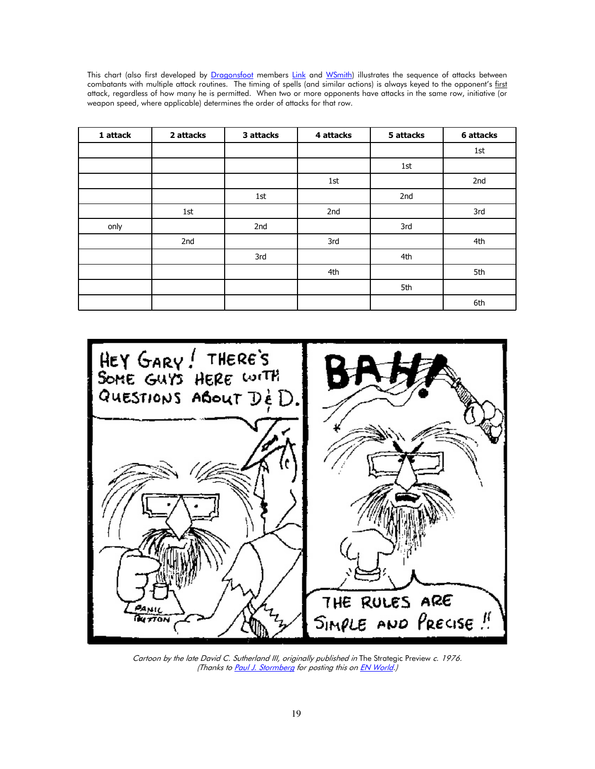This chart (also first developed by Dragonsfoot members Link and WSmith) illustrates the sequence of attacks between combatants with multiple attack routines. The timing of spells (and similar actions) is always keyed to the opponent's first attack, regardless of how many he is permitted. When two or more opponents have attacks in the same row, initiative (or weapon speed, where applicable) determines the order of attacks for that row.

| 1 attack | 2 attacks | 3 attacks | 4 attacks | 5 attacks | 6 attacks |
|----------|-----------|-----------|-----------|-----------|-----------|
|          |           |           |           |           | 1st       |
|          |           |           |           | 1st       |           |
|          |           |           | 1st       |           | 2nd       |
|          |           | 1st       |           | 2nd       |           |
|          | 1st       |           | 2nd       |           | 3rd       |
| only     |           | 2nd       |           | 3rd       |           |
|          | 2nd       |           | 3rd       |           | 4th       |
|          |           | 3rd       |           | 4th       |           |
|          |           |           | 4th       |           | 5th       |
|          |           |           |           | 5th       |           |
|          |           |           |           |           | 6th       |



Cartoon by the late David C. Sutherland III, originally published in The Strategic Preview c. 1976. (Thanks to Paul J. Stormberg for posting this on EN World.)